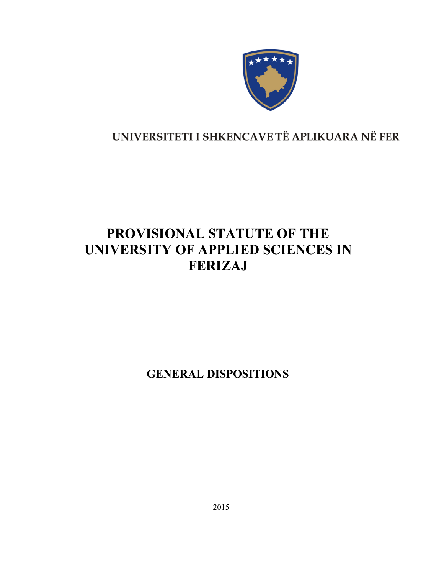

# UNIVERSITETI I SHKENCAVE TË APLIKUARA NË FER

# PROVISIONAL STATUTE OF THE UNIVERSITY OF APPLIED SCIENCES IN FERIZAJ

GENERAL DISPOSITIONS

2015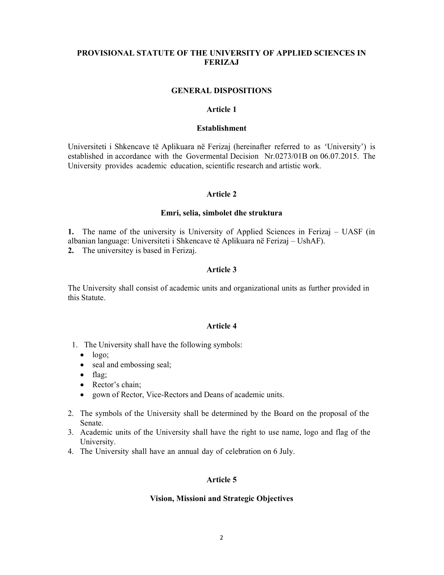## PROVISIONAL STATUTE OF THE UNIVERSITY OF APPLIED SCIENCES IN FERIZAJ

#### GENERAL DISPOSITIONS

#### Article 1

#### Establishment

Universiteti i Shkencave të Aplikuara në Ferizaj (hereinafter referred to as 'University') is established in accordance with the Govermental Decision Nr.0273/01B on 06.07.2015. The University provides academic education, scientific research and artistic work.

#### Article 2

#### Emri, selia, simbolet dhe struktura

1. The name of the university is University of Applied Sciences in Ferizaj – UASF (in albanian language: Universiteti i Shkencave të Aplikuara në Ferizaj – UshAF). 2. The universitey is based in Ferizaj.

#### Article 3

The University shall consist of academic units and organizational units as further provided in this Statute.

#### Article 4

- 1. The University shall have the following symbols:
	- $\bullet$  logo;
	- seal and embossing seal;
	- $\bullet$  flag;
	- Rector's chain;
	- gown of Rector, Vice-Rectors and Deans of academic units.
- 2. The symbols of the University shall be determined by the Board on the proposal of the Senate.
- 3. Academic units of the University shall have the right to use name, logo and flag of the University.
- 4. The University shall have an annual day of celebration on 6 July.

## Article 5

#### Vision, Missioni and Strategic Objectives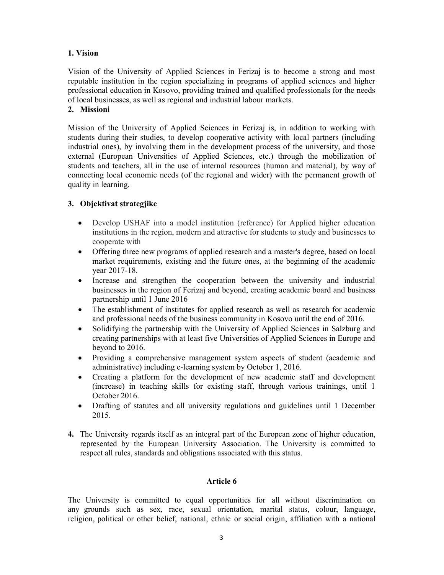# 1. Vision

Vision of the University of Applied Sciences in Ferizaj is to become a strong and most reputable institution in the region specializing in programs of applied sciences and higher professional education in Kosovo, providing trained and qualified professionals for the needs of local businesses, as well as regional and industrial labour markets.

# 2. Missioni

Mission of the University of Applied Sciences in Ferizaj is, in addition to working with students during their studies, to develop cooperative activity with local partners (including industrial ones), by involving them in the development process of the university, and those external (European Universities of Applied Sciences, etc.) through the mobilization of students and teachers, all in the use of internal resources (human and material), by way of connecting local economic needs (of the regional and wider) with the permanent growth of quality in learning.

# 3. Objektivat strategjike

- Develop USHAF into a model institution (reference) for Applied higher education institutions in the region, modern and attractive for students to study and businesses to cooperate with
- Offering three new programs of applied research and a master's degree, based on local market requirements, existing and the future ones, at the beginning of the academic year 2017-18.
- Increase and strengthen the cooperation between the university and industrial businesses in the region of Ferizaj and beyond, creating academic board and business partnership until 1 June 2016
- The establishment of institutes for applied research as well as research for academic and professional needs of the business community in Kosovo until the end of 2016.
- Solidifying the partnership with the University of Applied Sciences in Salzburg and creating partnerships with at least five Universities of Applied Sciences in Europe and beyond to 2016.
- Providing a comprehensive management system aspects of student (academic and administrative) including e-learning system by October 1, 2016.
- Creating a platform for the development of new academic staff and development (increase) in teaching skills for existing staff, through various trainings, until 1 October 2016.
- Drafting of statutes and all university regulations and guidelines until 1 December 2015.
- 4. The University regards itself as an integral part of the European zone of higher education, represented by the European University Association. The University is committed to respect all rules, standards and obligations associated with this status.

# Article 6

The University is committed to equal opportunities for all without discrimination on any grounds such as sex, race, sexual orientation, marital status, colour, language, religion, political or other belief, national, ethnic or social origin, affiliation with a national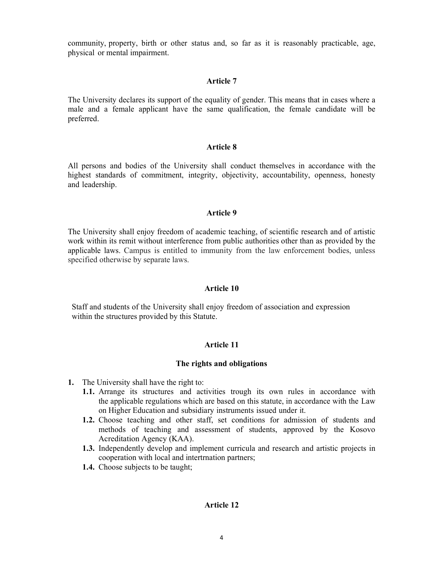community, property, birth or other status and, so far as it is reasonably practicable, age, physical or mental impairment.

#### Article 7

The University declares its support of the equality of gender. This means that in cases where a male and a female applicant have the same qualification, the female candidate will be preferred.

#### Article 8

All persons and bodies of the University shall conduct themselves in accordance with the highest standards of commitment, integrity, objectivity, accountability, openness, honesty and leadership.

#### Article 9

The University shall enjoy freedom of academic teaching, of scientific research and of artistic work within its remit without interference from public authorities other than as provided by the applicable laws. Campus is entitled to immunity from the law enforcement bodies, unless specified otherwise by separate laws.

#### Article 10

Staff and students of the University shall enjoy freedom of association and expression within the structures provided by this Statute.

## Article 11

#### The rights and obligations

- 1. The University shall have the right to:
	- 1.1. Arrange its structures and activities trough its own rules in accordance with the applicable regulations which are based on this statute, in accordance with the Law on Higher Education and subsidiary instruments issued under it.
	- 1.2. Choose teaching and other staff, set conditions for admission of students and methods of teaching and assessment of students, approved by the Kosovo Acreditation Agency (KAA).
	- 1.3. Independently develop and implement curricula and research and artistic projects in cooperation with local and intertrnation partners;
	- 1.4. Choose subjects to be taught;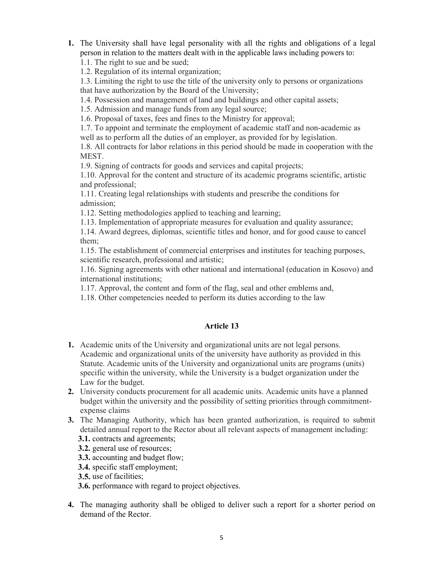1. The University shall have legal personality with all the rights and obligations of a legal person in relation to the matters dealt with in the applicable laws including powers to:

1.1. The right to sue and be sued;

1.2. Regulation of its internal organization;

1.3. Limiting the right to use the title of the university only to persons or organizations that have authorization by the Board of the University;

1.4. Possession and management of land and buildings and other capital assets;

1.5. Admission and manage funds from any legal source;

1.6. Proposal of taxes, fees and fines to the Ministry for approval;

1.7. To appoint and terminate the employment of academic staff and non-academic as well as to perform all the duties of an employer, as provided for by legislation.

1.8. All contracts for labor relations in this period should be made in cooperation with the MEST.

1.9. Signing of contracts for goods and services and capital projects;

1.10. Approval for the content and structure of its academic programs scientific, artistic and professional;

1.11. Creating legal relationships with students and prescribe the conditions for admission;

1.12. Setting methodologies applied to teaching and learning;

1.13. Implementation of appropriate measures for evaluation and quality assurance;

1.14. Award degrees, diplomas, scientific titles and honor, and for good cause to cancel them;

1.15. The establishment of commercial enterprises and institutes for teaching purposes, scientific research, professional and artistic;

1.16. Signing agreements with other national and international (education in Kosovo) and international institutions;

1.17. Approval, the content and form of the flag, seal and other emblems and,

1.18. Other competencies needed to perform its duties according to the law

# Article 13

- 1. Academic units of the University and organizational units are not legal persons. Academic and organizational units of the university have authority as provided in this Statute. Academic units of the University and organizational units are programs (units) specific within the university, while the University is a budget organization under the Law for the budget.
- 2. University conducts procurement for all academic units. Academic units have a planned budget within the university and the possibility of setting priorities through commitmentexpense claims
- 3. The Managing Authority, which has been granted authorization, is required to submit detailed annual report to the Rector about all relevant aspects of management including:
	- 3.1. contracts and agreements;
	- 3.2. general use of resources;
	- 3.3. accounting and budget flow;
	- 3.4. specific staff employment;

3.5. use of facilities;

3.6. performance with regard to project objectives.

4. The managing authority shall be obliged to deliver such a report for a shorter period on demand of the Rector.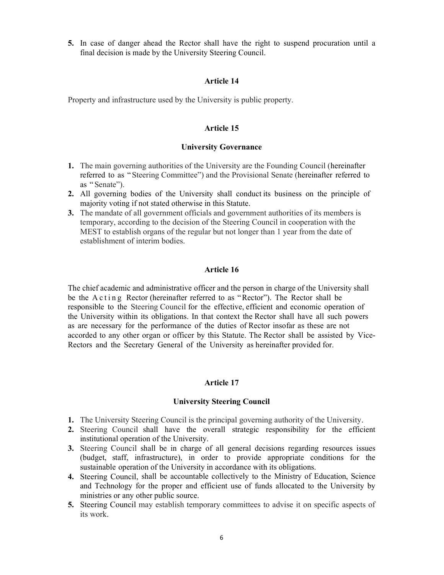5. In case of danger ahead the Rector shall have the right to suspend procuration until a final decision is made by the University Steering Council.

#### Article 14

Property and infrastructure used by the University is public property.

## Article 15

#### University Governance

- 1. The main governing authorities of the University are the Founding Council (hereinafter referred to as " Steering Committee") and the Provisional Senate (hereinafter referred to as " Senate").
- 2. All governing bodies of the University shall conduct its business on the principle of majority voting if not stated otherwise in this Statute.
- 3. The mandate of all government officials and government authorities of its members is temporary, according to the decision of the Steering Council in cooperation with the MEST to establish organs of the regular but not longer than 1 year from the date of establishment of interim bodies.

#### Article 16

The chief academic and administrative officer and the person in charge of the University shall Article 15<br>
1. The main governing authorities of the University are the Founding Council (hereinafter<br>
referred to as "Stearie").<br>
2. All governing Committee") and the Provisional Senate (hereinafter referred to<br>
2. All go responsible to the Steering Council for the effective, efficient and economic operation of the University within its obligations. In that context the Rector shall have all such powers as are necessary for the performance of the duties of Rector insofar as these are not accorded to any other organ or officer by this Statute. The Rector shall be assisted by Vice-Rectors and the Secretary General of the University as hereinafter provided for.

## Article 17

#### University Steering Council

- 1. The University Steering Council is the principal governing authority of the University.
- 2. Steering Council shall have the overall strategic responsibility for the efficient institutional operation of the University.
- 3. Steering Council shall be in charge of all general decisions regarding resources issues (budget, staff, infrastructure), in order to provide appropriate conditions for the sustainable operation of the University in accordance with its obligations.
- 4. Steering Council, shall be accountable collectively to the Ministry of Education, Science and Technology for the proper and efficient use of funds allocated to the University by ministries or any other public source.
- 5. Steering Council may establish temporary committees to advise it on specific aspects of its work.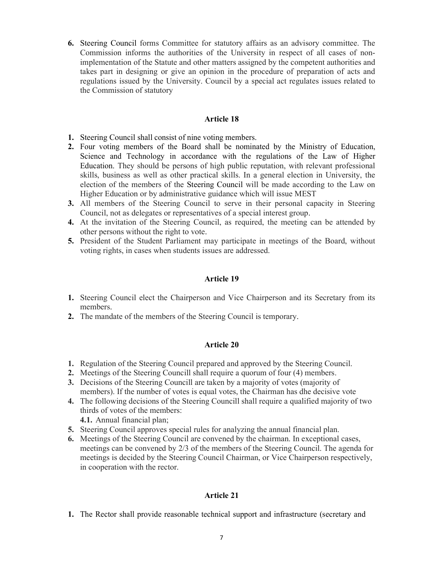6. Steering Council forms Committee for statutory affairs as an advisory committee. The Commission informs the authorities of the University in respect of all cases of nonimplementation of the Statute and other matters assigned by the competent authorities and takes part in designing or give an opinion in the procedure of preparation of acts and regulations issued by the University. Council by a special act regulates issues related to the Commission of statutory

#### Article 18

- 1. Steering Council shall consist of nine voting members.
- 2. Four voting members of the Board shall be nominated by the Ministry of Education, Science and Technology in accordance with the regulations of the Law of Higher Education. They should be persons of high public reputation, with relevant professional skills, business as well as other practical skills. In a general election in University, the election of the members of the Steering Council will be made according to the Law on Higher Education or by administrative guidance which will issue MEST
- 3. All members of the Steering Council to serve in their personal capacity in Steering Council, not as delegates or representatives of a special interest group.
- 4. At the invitation of the Steering Council, as required, the meeting can be attended by other persons without the right to vote.
- 5. President of the Student Parliament may participate in meetings of the Board, without voting rights, in cases when students issues are addressed.

## Article 19

- 1. Steering Council elect the Chairperson and Vice Chairperson and its Secretary from its members.
- 2. The mandate of the members of the Steering Council is temporary.

#### Article 20

- 1. Regulation of the Steering Council prepared and approved by the Steering Council.
- 2. Meetings of the Steering Councill shall require a quorum of four (4) members.
- 3. Decisions of the Steering Councill are taken by a majority of votes (majority of members). If the number of votes is equal votes, the Chairman has dhe decisive vote
- 4. The following decisions of the Steering Councill shall require a qualified majority of two thirds of votes of the members: 4.1. Annual financial plan;
- 5. Steering Council approves special rules for analyzing the annual financial plan.
- 6. Meetings of the Steering Council are convened by the chairman. In exceptional cases, meetings can be convened by 2/3 of the members of the Steering Council. The agenda for meetings is decided by the Steering Council Chairman, or Vice Chairperson respectively, in cooperation with the rector.

## Article 21

1. The Rector shall provide reasonable technical support and infrastructure (secretary and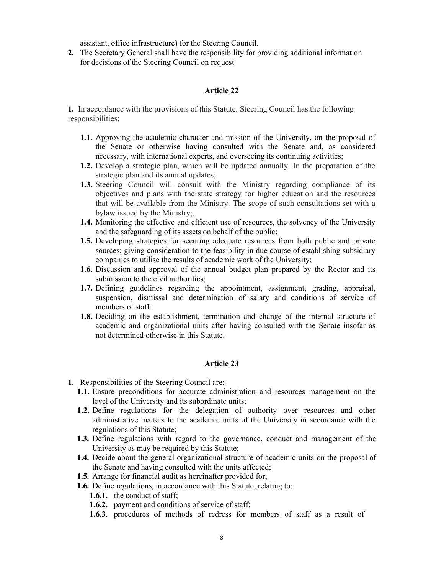assistant, office infrastructure) for the Steering Council.

2. The Secretary General shall have the responsibility for providing additional information for decisions of the Steering Council on request

#### Article 22

1. In accordance with the provisions of this Statute, Steering Council has the following responsibilities:

- 1.1. Approving the academic character and mission of the University, on the proposal of the Senate or otherwise having consulted with the Senate and, as considered necessary, with international experts, and overseeing its continuing activities;
- 1.2. Develop a strategic plan, which will be updated annually. In the preparation of the strategic plan and its annual updates;
- 1.3. Steering Council will consult with the Ministry regarding compliance of its objectives and plans with the state strategy for higher education and the resources that will be available from the Ministry. The scope of such consultations set with a bylaw issued by the Ministry;.
- 1.4. Monitoring the effective and efficient use of resources, the solvency of the University and the safeguarding of its assets on behalf of the public;
- 1.5. Developing strategies for securing adequate resources from both public and private sources; giving consideration to the feasibility in due course of establishing subsidiary companies to utilise the results of academic work of the University;
- 1.6. Discussion and approval of the annual budget plan prepared by the Rector and its submission to the civil authorities;
- 1.7. Defining guidelines regarding the appointment, assignment, grading, appraisal, suspension, dismissal and determination of salary and conditions of service of members of staff.
- 1.8. Deciding on the establishment, termination and change of the internal structure of academic and organizational units after having consulted with the Senate insofar as not determined otherwise in this Statute.

- 1. Responsibilities of the Steering Council are:
	- 1.1. Ensure preconditions for accurate administration and resources management on the level of the University and its subordinate units;
	- 1.2. Define regulations for the delegation of authority over resources and other administrative matters to the academic units of the University in accordance with the regulations of this Statute;
	- 1.3. Define regulations with regard to the governance, conduct and management of the University as may be required by this Statute;
	- 1.4. Decide about the general organizational structure of academic units on the proposal of the Senate and having consulted with the units affected;
	- 1.5. Arrange for financial audit as hereinafter provided for;
	- 1.6. Define regulations, in accordance with this Statute, relating to:
		- 1.6.1. the conduct of staff;
		- 1.6.2. payment and conditions of service of staff;
		- 1.6.3. procedures of methods of redress for members of staff as a result of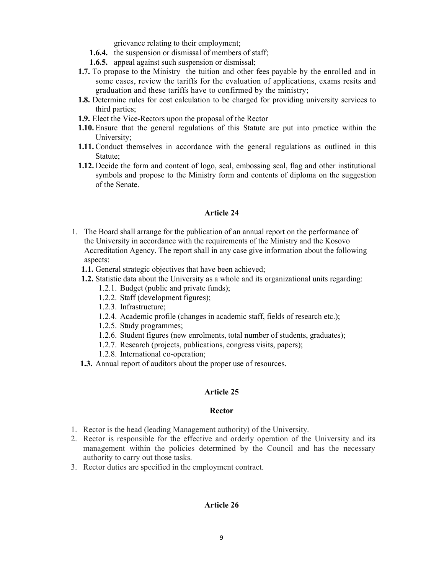grievance relating to their employment;

- 1.6.4. the suspension or dismissal of members of staff;
- 1.6.5. appeal against such suspension or dismissal;
- 1.7. To propose to the Ministry the tuition and other fees payable by the enrolled and in some cases, review the tariffs for the evaluation of applications, exams resits and graduation and these tariffs have to confirmed by the ministry;
- 1.8. Determine rules for cost calculation to be charged for providing university services to third parties;
- 1.9. Elect the Vice-Rectors upon the proposal of the Rector
- 1.10. Ensure that the general regulations of this Statute are put into practice within the University;
- 1.11. Conduct themselves in accordance with the general regulations as outlined in this Statute;
- 1.12. Decide the form and content of logo, seal, embossing seal, flag and other institutional symbols and propose to the Ministry form and contents of diploma on the suggestion of the Senate.

#### Article 24

- 1. The Board shall arrange for the publication of an annual report on the performance of the University in accordance with the requirements of the Ministry and the Kosovo Accreditation Agency. The report shall in any case give information about the following aspects:
	- 1.1. General strategic objectives that have been achieved;
	- 1.2. Statistic data about the University as a whole and its organizational units regarding:
		- 1.2.1. Budget (public and private funds);
		- 1.2.2. Staff (development figures);
		- 1.2.3. Infrastructure;
		- 1.2.4. Academic profile (changes in academic staff, fields of research etc.);
		- 1.2.5. Study programmes;
		- 1.2.6. Student figures (new enrolments, total number of students, graduates);
		- 1.2.7. Research (projects, publications, congress visits, papers);
		- 1.2.8. International co-operation;
	- 1.3. Annual report of auditors about the proper use of resources.

#### Article 25

#### Rector

- 1. Rector is the head (leading Management authority) of the University.
- 2. Rector is responsible for the effective and orderly operation of the University and its management within the policies determined by the Council and has the necessary authority to carry out those tasks.
- 3. Rector duties are specified in the employment contract.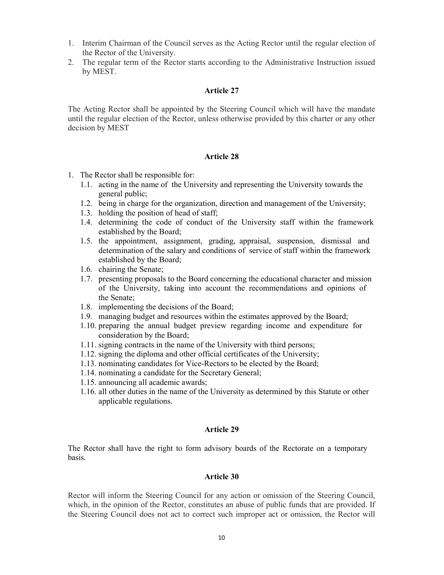- 1. Interim Chairman of the Council serves as the Acting Rector until the regular election of the Rector of the University.
- 2. The regular term of the Rector starts according to the Administrative Instruction issued by MEST.

The Acting Rector shall be appointed by the Steering Council which will have the mandate until the regular election of the Rector, unless otherwise provided by this charter or any other decision by MEST

## Article 28

- 1. The Rector shall be responsible for:
	- 1.1. acting in the name of the University and representing the University towards the general public;
	- 1.2. being in charge for the organization, direction and management of the University;
	- 1.3. holding the position of head of staff;
	- 1.4. determining the code of conduct of the University staff within the framework established by the Board;
	- 1.5. the appointment, assignment, grading, appraisal, suspension, dismissal and determination of the salary and conditions of service of staff within the framework established by the Board;
	- 1.6. chairing the Senate;
	- 1.7. presenting proposals to the Board concerning the educational character and mission of the University, taking into account the recommendations and opinions of the Senate;
	- 1.8. implementing the decisions of the Board;
	- 1.9. managing budget and resources within the estimates approved by the Board;
	- 1.10. preparing the annual budget preview regarding income and expenditure for consideration by the Board;
	- 1.11. signing contracts in the name of the University with third persons;
	- 1.12. signing the diploma and other official certificates of the University;
	- 1.13. nominating candidates for Vice-Rectors to be elected by the Board;
	- 1.14. nominating a candidate for the Secretary General;
	- 1.15. announcing all academic awards;
	- 1.16. all other duties in the name of the University as determined by this Statute or other applicable regulations.

#### Article 29

The Rector shall have the right to form advisory boards of the Rectorate on a temporary basis.

#### Article 30

Rector will inform the Steering Council for any action or omission of the Steering Council, which, in the opinion of the Rector, constitutes an abuse of public funds that are provided. If the Steering Council does not act to correct such improper act or omission, the Rector will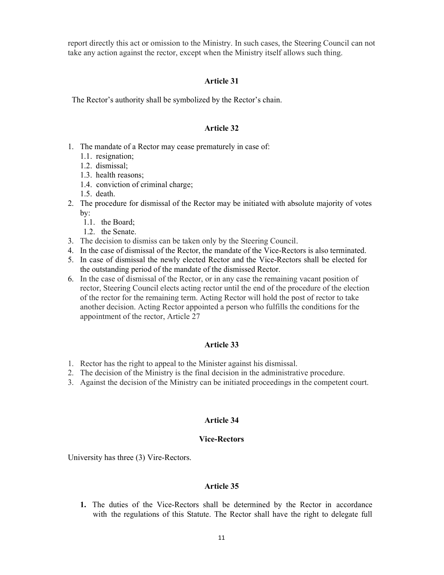report directly this act or omission to the Ministry. In such cases, the Steering Council can not take any action against the rector, except when the Ministry itself allows such thing.

#### Article 31

The Rector's authority shall be symbolized by the Rector's chain.

#### Article 32

- 1. The mandate of a Rector may cease prematurely in case of:
	- 1.1. resignation;
	- 1.2. dismissal;
	- 1.3. health reasons;
	- 1.4. conviction of criminal charge;
	- 1.5. death.
- 2. The procedure for dismissal of the Rector may be initiated with absolute majority of votes by:
	- 1.1. the Board;
	- 1.2. the Senate.
- 3. The decision to dismiss can be taken only by the Steering Council.
- 4. In the case of dismissal of the Rector, the mandate of the Vice-Rectors is also terminated.
- 5. In case of dismissal the newly elected Rector and the Vice-Rectors shall be elected for the outstanding period of the mandate of the dismissed Rector.
- 6. In the case of dismissal of the Rector, or in any case the remaining vacant position of rector, Steering Council elects acting rector until the end of the procedure of the election of the rector for the remaining term. Acting Rector will hold the post of rector to take another decision. Acting Rector appointed a person who fulfills the conditions for the appointment of the rector, Article 27

#### Article 33

- 1. Rector has the right to appeal to the Minister against his dismissal.
- 2. The decision of the Ministry is the final decision in the administrative procedure.
- 3. Against the decision of the Ministry can be initiated proceedings in the competent court.

#### Article 34

#### Vice-Rectors

University has three (3) Vire-Rectors.

#### Article 35

1. The duties of the Vice-Rectors shall be determined by the Rector in accordance with the regulations of this Statute. The Rector shall have the right to delegate full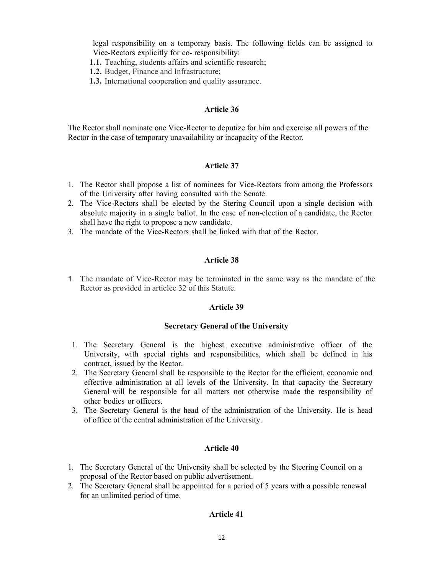legal responsibility on a temporary basis. The following fields can be assigned to Vice-Rectors explicitly for co- responsibility:

- 1.1. Teaching, students affairs and scientific research;
- 1.2. Budget, Finance and Infrastructure;
- 1.3. International cooperation and quality assurance.

#### Article 36

The Rector shall nominate one Vice-Rector to deputize for him and exercise all powers of the Rector in the case of temporary unavailability or incapacity of the Rector.

#### Article 37

- 1. The Rector shall propose a list of nominees for Vice-Rectors from among the Professors of the University after having consulted with the Senate.
- 2. The Vice-Rectors shall be elected by the Stering Council upon a single decision with absolute majority in a single ballot. In the case of non-election of a candidate, the Rector shall have the right to propose a new candidate.
- 3. The mandate of the Vice-Rectors shall be linked with that of the Rector.

#### Article 38

1. The mandate of Vice-Rector may be terminated in the same way as the mandate of the Rector as provided in articlee 32 of this Statute.

## Article 39

#### Secretary General of the University

- 1. The Secretary General is the highest executive administrative officer of the University, with special rights and responsibilities, which shall be defined in his contract, issued by the Rector.
- 2. The Secretary General shall be responsible to the Rector for the efficient, economic and effective administration at all levels of the University. In that capacity the Secretary General will be responsible for all matters not otherwise made the responsibility of other bodies or officers.
- 3. The Secretary General is the head of the administration of the University. He is head of office of the central administration of the University.

#### Article 40

- 1. The Secretary General of the University shall be selected by the Steering Council on a proposal of the Rector based on public advertisement.
- 2. The Secretary General shall be appointed for a period of 5 years with a possible renewal for an unlimited period of time.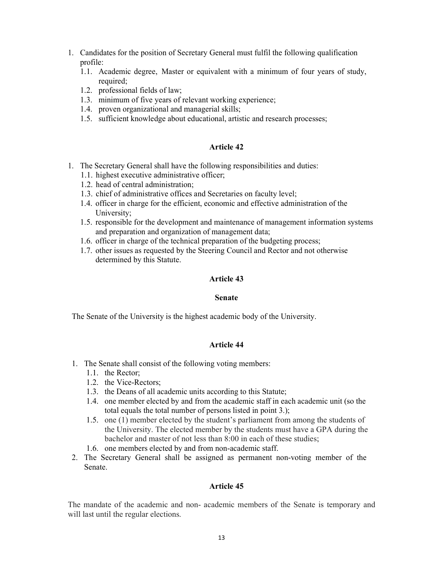- 1. Candidates for the position of Secretary General must fulfil the following qualification profile:
	- 1.1. Academic degree, Master or equivalent with a minimum of four years of study, required;
	- 1.2. professional fields of law;
	- 1.3. minimum of five years of relevant working experience;
	- 1.4. proven organizational and managerial skills;
	- 1.5. sufficient knowledge about educational, artistic and research processes;

- 1. The Secretary General shall have the following responsibilities and duties:
	- 1.1. highest executive administrative officer;
	- 1.2. head of central administration;
	- 1.3. chief of administrative offices and Secretaries on faculty level;
	- 1.4. officer in charge for the efficient, economic and effective administration of the University;
	- 1.5. responsible for the development and maintenance of management information systems and preparation and organization of management data;
	- 1.6. officer in charge of the technical preparation of the budgeting process;
	- 1.7. other issues as requested by the Steering Council and Rector and not otherwise determined by this Statute.

# Article 43

## Senate

The Senate of the University is the highest academic body of the University.

## Article 44

- 1. The Senate shall consist of the following voting members:
	- 1.1. the Rector;
	- 1.2. the Vice-Rectors;
	- 1.3. the Deans of all academic units according to this Statute;
	- 1.4. one member elected by and from the academic staff in each academic unit (so the total equals the total number of persons listed in point 3.);
	- 1.5. one (1) member elected by the student's parliament from among the students of the University. The elected member by the students must have a GPA during the bachelor and master of not less than 8:00 in each of these studies;
	- 1.6. one members elected by and from non-academic staff.
- 2. The Secretary General shall be assigned as permanent non-voting member of the Senate.

## Article 45

The mandate of the academic and non- academic members of the Senate is temporary and will last until the regular elections.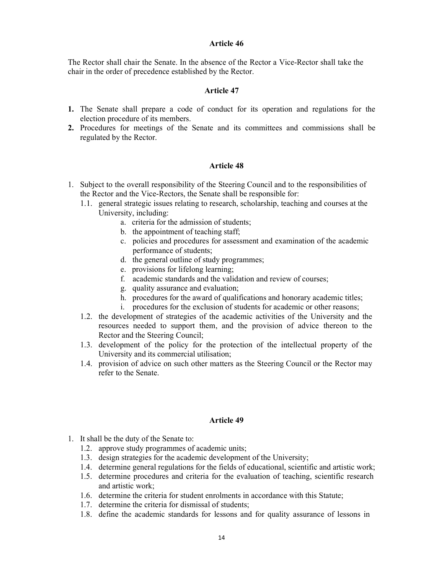The Rector shall chair the Senate. In the absence of the Rector a Vice-Rector shall take the chair in the order of precedence established by the Rector.

#### Article 47

- 1. The Senate shall prepare a code of conduct for its operation and regulations for the election procedure of its members.
- 2. Procedures for meetings of the Senate and its committees and commissions shall be regulated by the Rector.

#### Article 48

- 1. Subject to the overall responsibility of the Steering Council and to the responsibilities of the Rector and the Vice-Rectors, the Senate shall be responsible for:
	- 1.1. general strategic issues relating to research, scholarship, teaching and courses at the University, including:
		- a. criteria for the admission of students;
		- b. the appointment of teaching staff;
		- c. policies and procedures for assessment and examination of the academic performance of students;
		- d. the general outline of study programmes;
		- e. provisions for lifelong learning;
		- f. academic standards and the validation and review of courses;
		- g. quality assurance and evaluation;
		- h. procedures for the award of qualifications and honorary academic titles;
		- i. procedures for the exclusion of students for academic or other reasons;
	- 1.2. the development of strategies of the academic activities of the University and the resources needed to support them, and the provision of advice thereon to the Rector and the Steering Council;
	- 1.3. development of the policy for the protection of the intellectual property of the University and its commercial utilisation;
	- 1.4. provision of advice on such other matters as the Steering Council or the Rector may refer to the Senate.

- 1. It shall be the duty of the Senate to:
	- 1.2. approve study programmes of academic units;
	- 1.3. design strategies for the academic development of the University;
	- 1.4. determine general regulations for the fields of educational, scientific and artistic work;
	- 1.5. determine procedures and criteria for the evaluation of teaching, scientific research and artistic work;
	- 1.6. determine the criteria for student enrolments in accordance with this Statute;
	- 1.7. determine the criteria for dismissal of students;
	- 1.8. define the academic standards for lessons and for quality assurance of lessons in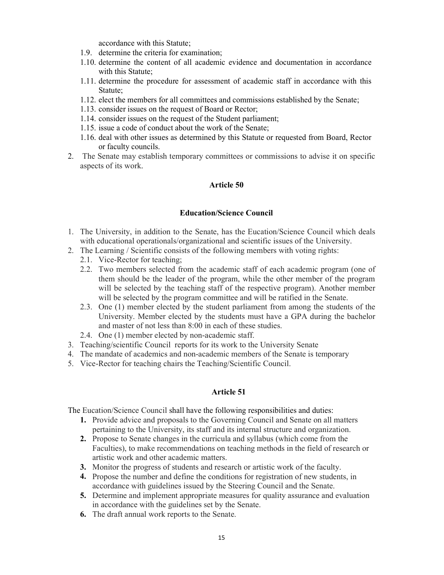accordance with this Statute;

- 1.9. determine the criteria for examination;
- 1.10. determine the content of all academic evidence and documentation in accordance with this Statute;
- 1.11. determine the procedure for assessment of academic staff in accordance with this Statute;
- 1.12. elect the members for all committees and commissions established by the Senate;
- 1.13. consider issues on the request of Board or Rector;
- 1.14. consider issues on the request of the Student parliament;
- 1.15. issue a code of conduct about the work of the Senate;
- 1.16. deal with other issues as determined by this Statute or requested from Board, Rector or faculty councils.
- 2. The Senate may establish temporary committees or commissions to advise it on specific aspects of its work.

#### Article 50

## Education/Science Council

- 1. The University, in addition to the Senate, has the Eucation/Science Council which deals with educational operationals/organizational and scientific issues of the University.
- 2. The Learning / Scientific consists of the following members with voting rights:
	- 2.1. Vice-Rector for teaching;
	- 2.2. Two members selected from the academic staff of each academic program (one of them should be the leader of the program, while the other member of the program will be selected by the teaching staff of the respective program). Another member will be selected by the program committee and will be ratified in the Senate.
	- 2.3. One (1) member elected by the student parliament from among the students of the University. Member elected by the students must have a GPA during the bachelor and master of not less than 8:00 in each of these studies.
	- 2.4. One (1) member elected by non-academic staff.
- 3. Teaching/scientific Council reports for its work to the University Senate
- 4. The mandate of academics and non-academic members of the Senate is temporary
- 5. Vice-Rector for teaching chairs the Teaching/Scientific Council.

#### Article 51

The Eucation/Science Council shall have the following responsibilities and duties:

- 1. Provide advice and proposals to the Governing Council and Senate on all matters pertaining to the University, its staff and its internal structure and organization.
- 2. Propose to Senate changes in the curricula and syllabus (which come from the Faculties), to make recommendations on teaching methods in the field of research or artistic work and other academic matters.
- 3. Monitor the progress of students and research or artistic work of the faculty.
- 4. Propose the number and define the conditions for registration of new students, in accordance with guidelines issued by the Steering Council and the Senate.
- 5. Determine and implement appropriate measures for quality assurance and evaluation in accordance with the guidelines set by the Senate.
- 6. The draft annual work reports to the Senate.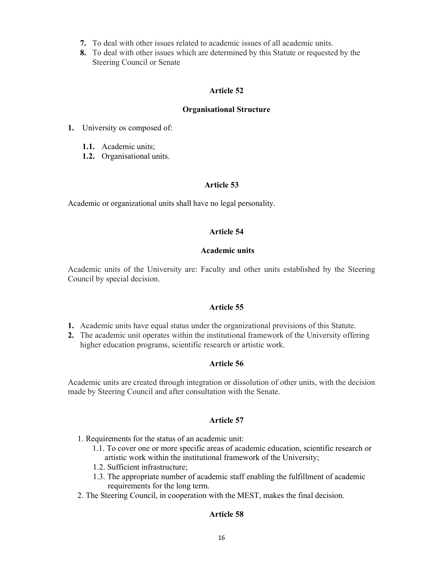- 7. To deal with other issues related to academic issues of all academic units.
- 8. To deal with other issues which are determined by this Statute or requested by the Steering Council or Senate

## Organisational Structure

1. University os composed of:

- 1.1. Academic units;
- 1.2. Organisational units.

## Article 53

Academic or organizational units shall have no legal personality.

## Article 54

## Academic units

Academic units of the University are: Faculty and other units established by the Steering Council by special decision.

# Article 55

- 1. Academic units have equal status under the organizational provisions of this Statute.
- 2. The academic unit operates within the institutional framework of the University offering higher education programs, scientific research or artistic work.

# Article 56

Academic units are created through integration or dissolution of other units, with the decision made by Steering Council and after consultation with the Senate.

# Article 57

- 1. Requirements for the status of an academic unit:
	- 1.1. To cover one or more specific areas of academic education, scientific research or artistic work within the institutional framework of the University;
	- 1.2. Sufficient infrastructure;
	- 1.3. The appropriate number of academic staff enabling the fulfillment of academic requirements for the long term.
- 2. The Steering Council, in cooperation with the MEST, makes the final decision.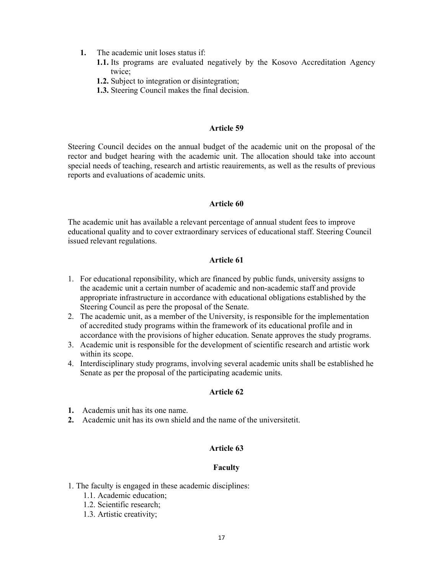- 1. The academic unit loses status if:
	- 1.1. Its programs are evaluated negatively by the Kosovo Accreditation Agency twice;
	- 1.2. Subject to integration or disintegration;
	- 1.3. Steering Council makes the final decision.

Steering Council decides on the annual budget of the academic unit on the proposal of the rector and budget hearing with the academic unit. The allocation should take into account special needs of teaching, research and artistic reauirements, as well as the results of previous reports and evaluations of academic units.

#### Article 60

The academic unit has available a relevant percentage of annual student fees to improve educational quality and to cover extraordinary services of educational staff. Steering Council issued relevant regulations.

#### Article 61

- 1. For educational reponsibility, which are financed by public funds, university assigns to the academic unit a certain number of academic and non-academic staff and provide appropriate infrastructure in accordance with educational obligations established by the Steering Council as pere the proposal of the Senate.
- 2. The academic unit, as a member of the University, is responsible for the implementation of accredited study programs within the framework of its educational profile and in accordance with the provisions of higher education. Senate approves the study programs.
- 3. Academic unit is responsible for the development of scientific research and artistic work within its scope.
- 4. Interdisciplinary study programs, involving several academic units shall be established he Senate as per the proposal of the participating academic units.

#### Article 62

- 1. Academis unit has its one name.
- 2. Academic unit has its own shield and the name of the universitetit.

#### Article 63

#### Faculty

- 1. The faculty is engaged in these academic disciplines:
	- 1.1. Academic education;
	- 1.2. Scientific research;
	- 1.3. Artistic creativity;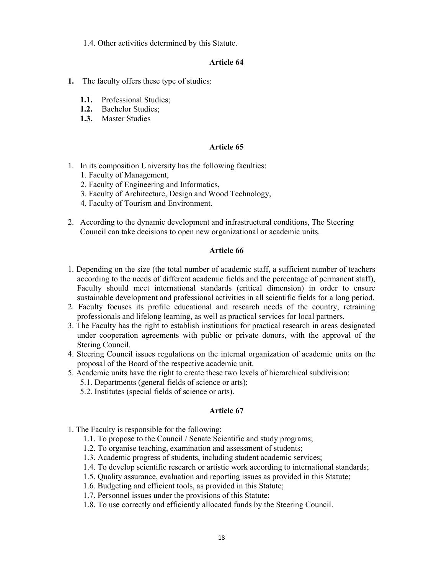1.4. Other activities determined by this Statute.

## Article 64

- 1. The faculty offers these type of studies:
	- 1.1. Professional Studies;
	- 1.2. Bachelor Studies;
	- 1.3. Master Studies

#### Article 65

- 1. In its composition University has the following faculties:
	- 1. Faculty of Management,
	- 2. Faculty of Engineering and Informatics,
	- 3. Faculty of Architecture, Design and Wood Technology,
	- 4. Faculty of Tourism and Environment.
- 2. According to the dynamic development and infrastructural conditions, The Steering Council can take decisions to open new organizational or academic units.

#### Article 66

- 1. Depending on the size (the total number of academic staff, a sufficient number of teachers according to the needs of different academic fields and the percentage of permanent staff), Faculty should meet international standards (critical dimension) in order to ensure sustainable development and professional activities in all scientific fields for a long period.
- 2. Faculty focuses its profile educational and research needs of the country, retraining professionals and lifelong learning, as well as practical services for local partners.
- 3. The Faculty has the right to establish institutions for practical research in areas designated under cooperation agreements with public or private donors, with the approval of the Stering Council.
- 4. Steering Council issues regulations on the internal organization of academic units on the proposal of the Board of the respective academic unit.
- 5. Academic units have the right to create these two levels of hierarchical subdivision:
	- 5.1. Departments (general fields of science or arts);
	- 5.2. Institutes (special fields of science or arts).

- 1. The Faculty is responsible for the following:
	- 1.1. To propose to the Council / Senate Scientific and study programs;
	- 1.2. To organise teaching, examination and assessment of students;
	- 1.3. Academic progress of students, including student academic services;
	- 1.4. To develop scientific research or artistic work according to international standards;
	- 1.5. Quality assurance, evaluation and reporting issues as provided in this Statute;
	- 1.6. Budgeting and efficient tools, as provided in this Statute;
	- 1.7. Personnel issues under the provisions of this Statute;
	- 1.8. To use correctly and efficiently allocated funds by the Steering Council.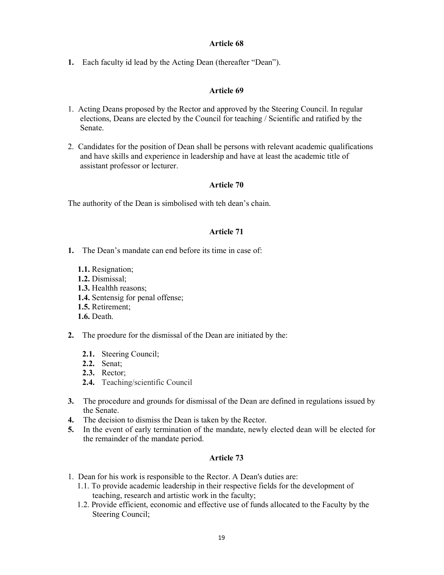1. Each faculty id lead by the Acting Dean (thereafter "Dean").

# Article 69

- 1. Acting Deans proposed by the Rector and approved by the Steering Council. In regular elections, Deans are elected by the Council for teaching / Scientific and ratified by the Senate.
- 2. Candidates for the position of Dean shall be persons with relevant academic qualifications and have skills and experience in leadership and have at least the academic title of assistant professor or lecturer.

## Article 70

The authority of the Dean is simbolised with teh dean's chain.

## Article 71

- 1. The Dean's mandate can end before its time in case of:
	- 1.1. Resignation;
	- 1.2. Dismissal;
	- 1.3. Healthh reasons;
	- 1.4. Sentensig for penal offense;
	- 1.5. Retirement;
	- 1.6. Death.
- 2. The proedure for the dismissal of the Dean are initiated by the:
	- 2.1. Steering Council;
	- 2.2. Senat;
	- 2.3. Rector;
	- 2.4. Teaching/scientific Council
- 3. The procedure and grounds for dismissal of the Dean are defined in regulations issued by the Senate.
- 4. The decision to dismiss the Dean is taken by the Rector.
- 5. In the event of early termination of the mandate, newly elected dean will be elected for the remainder of the mandate period.

- 1. Dean for his work is responsible to the Rector. A Dean's duties are:
	- 1.1. To provide academic leadership in their respective fields for the development of teaching, research and artistic work in the faculty;
	- 1.2. Provide efficient, economic and effective use of funds allocated to the Faculty by the Steering Council;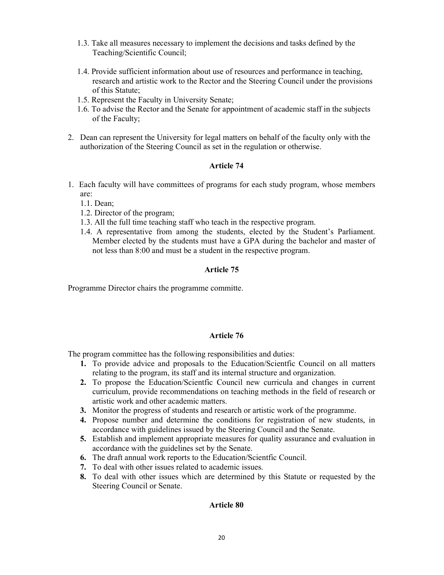- 1.3. Take all measures necessary to implement the decisions and tasks defined by the Teaching/Scientific Council;
- 1.4. Provide sufficient information about use of resources and performance in teaching, research and artistic work to the Rector and the Steering Council under the provisions of this Statute;
- 1.5. Represent the Faculty in University Senate;
- 1.6. To advise the Rector and the Senate for appointment of academic staff in the subjects of the Faculty;
- 2. Dean can represent the University for legal matters on behalf of the faculty only with the authorization of the Steering Council as set in the regulation or otherwise.

- 1. Each faculty will have committees of programs for each study program, whose members are:
	- 1.1. Dean;
	- 1.2. Director of the program;
	- 1.3. All the full time teaching staff who teach in the respective program.
	- 1.4. A representative from among the students, elected by the Student's Parliament. Member elected by the students must have a GPA during the bachelor and master of not less than 8:00 and must be a student in the respective program.

## Article 75

Programme Director chairs the programme committe.

## Article 76

The program committee has the following responsibilities and duties:

- 1. To provide advice and proposals to the Education/Scientfic Council on all matters relating to the program, its staff and its internal structure and organization.
- 2. To propose the Education/Scientfic Council new curricula and changes in current curriculum, provide recommendations on teaching methods in the field of research or artistic work and other academic matters.
- 3. Monitor the progress of students and research or artistic work of the programme.
- 4. Propose number and determine the conditions for registration of new students, in accordance with guidelines issued by the Steering Council and the Senate.
- 5. Establish and implement appropriate measures for quality assurance and evaluation in accordance with the guidelines set by the Senate.
- 6. The draft annual work reports to the Education/Scientfic Council.
- 7. To deal with other issues related to academic issues.
- 8. To deal with other issues which are determined by this Statute or requested by the Steering Council or Senate.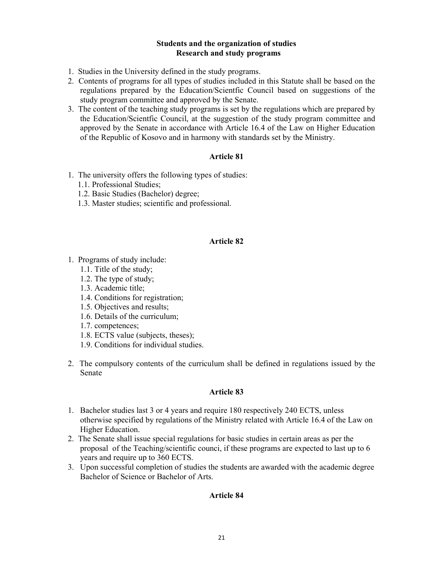#### Students and the organization of studies Research and study programs

- 1. Studies in the University defined in the study programs.
- 2. Contents of programs for all types of studies included in this Statute shall be based on the regulations prepared by the Education/Scientfic Council based on suggestions of the study program committee and approved by the Senate.
- 3. The content of the teaching study programs is set by the regulations which are prepared by the Education/Scientfic Council, at the suggestion of the study program committee and approved by the Senate in accordance with Article 16.4 of the Law on Higher Education of the Republic of Kosovo and in harmony with standards set by the Ministry.

#### Article 81

- 1. The university offers the following types of studies:
	- 1.1. Professional Studies;
	- 1.2. Basic Studies (Bachelor) degree;
	- 1.3. Master studies; scientific and professional.

#### Article 82

- 1. Programs of study include:
	- 1.1. Title of the study;
	- 1.2. The type of study;
	- 1.3. Academic title;
	- 1.4. Conditions for registration;
	- 1.5. Objectives and results;
	- 1.6. Details of the curriculum;
	- 1.7. competences;
	- 1.8. ECTS value (subjects, theses);
	- 1.9. Conditions for individual studies.
- 2. The compulsory contents of the curriculum shall be defined in regulations issued by the Senate

#### Article 83

- 1. Bachelor studies last 3 or 4 years and require 180 respectively 240 ECTS, unless otherwise specified by regulations of the Ministry related with Article 16.4 of the Law on Higher Education.
- 2. The Senate shall issue special regulations for basic studies in certain areas as per the proposal of the Teaching/scientific counci, if these programs are expected to last up to 6 years and require up to 360 ECTS.
- 3. Upon successful completion of studies the students are awarded with the academic degree Bachelor of Science or Bachelor of Arts.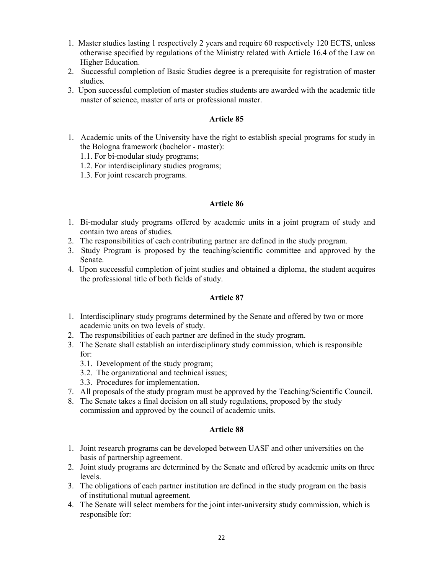- 1. Master studies lasting 1 respectively 2 years and require 60 respectively 120 ECTS, unless otherwise specified by regulations of the Ministry related with Article 16.4 of the Law on Higher Education.
- 2. Successful completion of Basic Studies degree is a prerequisite for registration of master studies.
- 3. Upon successful completion of master studies students are awarded with the academic title master of science, master of arts or professional master.

- 1. Academic units of the University have the right to establish special programs for study in the Bologna framework (bachelor - master):
	- 1.1. For bi-modular study programs;
	- 1.2. For interdisciplinary studies programs;
	- 1.3. For joint research programs.

## Article 86

- 1. Bi-modular study programs offered by academic units in a joint program of study and contain two areas of studies.
- 2. The responsibilities of each contributing partner are defined in the study program.
- 3. Study Program is proposed by the teaching/scientific committee and approved by the Senate.
- 4. Upon successful completion of joint studies and obtained a diploma, the student acquires the professional title of both fields of study.

## Article 87

- 1. Interdisciplinary study programs determined by the Senate and offered by two or more academic units on two levels of study.
- 2. The responsibilities of each partner are defined in the study program.
- 3. The Senate shall establish an interdisciplinary study commission, which is responsible for:
	- 3.1. Development of the study program;
	- 3.2. The organizational and technical issues;
	- 3.3. Procedures for implementation.
- 7. All proposals of the study program must be approved by the Teaching/Scientific Council.
- 8. The Senate takes a final decision on all study regulations, proposed by the study commission and approved by the council of academic units.

- 1. Joint research programs can be developed between UASF and other universities on the basis of partnership agreement.
- 2. Joint study programs are determined by the Senate and offered by academic units on three levels.
- 3. The obligations of each partner institution are defined in the study program on the basis of institutional mutual agreement.
- 4. The Senate will select members for the joint inter-university study commission, which is responsible for: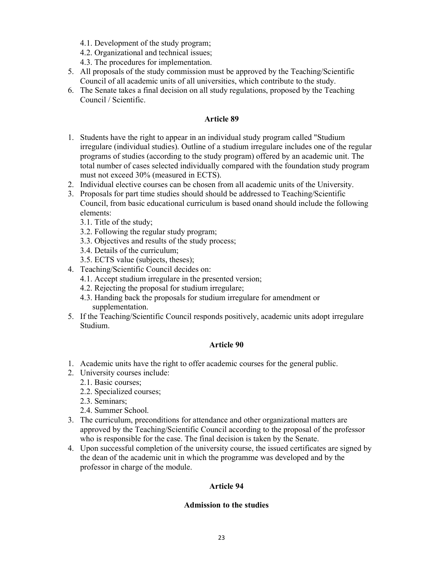- 4.1. Development of the study program;
- 4.2. Organizational and technical issues;
- 4.3. The procedures for implementation.
- 5. All proposals of the study commission must be approved by the Teaching/Scientific Council of all academic units of all universities, which contribute to the study.
- 6. The Senate takes a final decision on all study regulations, proposed by the Teaching Council / Scientific.

- 1. Students have the right to appear in an individual study program called "Studium irregulare (individual studies). Outline of a studium irregulare includes one of the regular programs of studies (according to the study program) offered by an academic unit. The total number of cases selected individually compared with the foundation study program must not exceed 30% (measured in ECTS).
- 2. Individual elective courses can be chosen from all academic units of the University.
- 3. Proposals for part time studies should should be addressed to Teaching/Scientific Council, from basic educational curriculum is based onand should include the following elements:
	- 3.1. Title of the study;
	- 3.2. Following the regular study program;
	- 3.3. Objectives and results of the study process;
	- 3.4. Details of the curriculum;
	- 3.5. ECTS value (subjects, theses);
- 4. Teaching/Scientific Council decides on:
	- 4.1. Accept studium irregulare in the presented version;
	- 4.2. Rejecting the proposal for studium irregulare;
	- 4.3. Handing back the proposals for studium irregulare for amendment or supplementation.
- 5. If the Teaching/Scientific Council responds positively, academic units adopt irregulare Studium.

## Article 90

- 1. Academic units have the right to offer academic courses for the general public.
- 2. University courses include:
	- 2.1. Basic courses;
	- 2.2. Specialized courses;
	- 2.3. Seminars;
	- 2.4. Summer School.
- 3. The curriculum, preconditions for attendance and other organizational matters are approved by the Teaching/Scientific Council according to the proposal of the professor who is responsible for the case. The final decision is taken by the Senate.
- 4. Upon successful completion of the university course, the issued certificates are signed by the dean of the academic unit in which the programme was developed and by the professor in charge of the module.

## Article 94

## Admission to the studies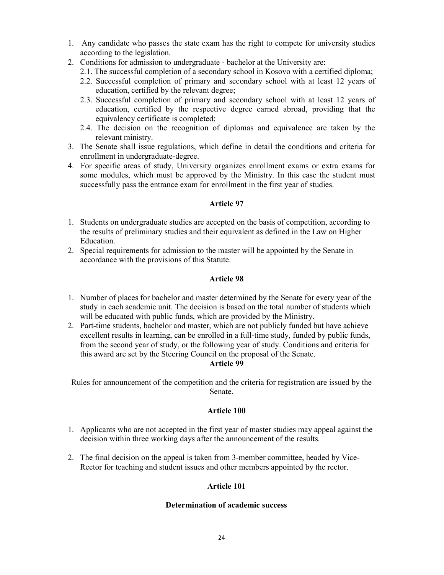- 1. Any candidate who passes the state exam has the right to compete for university studies according to the legislation.
- 2. Conditions for admission to undergraduate bachelor at the University are:
	- 2.1. The successful completion of a secondary school in Kosovo with a certified diploma;
	- 2.2. Successful completion of primary and secondary school with at least 12 years of education, certified by the relevant degree;
	- 2.3. Successful completion of primary and secondary school with at least 12 years of education, certified by the respective degree earned abroad, providing that the equivalency certificate is completed;
	- 2.4. The decision on the recognition of diplomas and equivalence are taken by the relevant ministry.
- 3. The Senate shall issue regulations, which define in detail the conditions and criteria for enrollment in undergraduate-degree.
- 4. For specific areas of study, University organizes enrollment exams or extra exams for some modules, which must be approved by the Ministry. In this case the student must successfully pass the entrance exam for enrollment in the first year of studies.

- 1. Students on undergraduate studies are accepted on the basis of competition, according to the results of preliminary studies and their equivalent as defined in the Law on Higher Education.
- 2. Special requirements for admission to the master will be appointed by the Senate in accordance with the provisions of this Statute.

## Article 98

- 1. Number of places for bachelor and master determined by the Senate for every year of the study in each academic unit. The decision is based on the total number of students which will be educated with public funds, which are provided by the Ministry.
- 2. Part-time students, bachelor and master, which are not publicly funded but have achieve excellent results in learning, can be enrolled in a full-time study, funded by public funds, from the second year of study, or the following year of study. Conditions and criteria for this award are set by the Steering Council on the proposal of the Senate.

## Article 99

Rules for announcement of the competition and the criteria for registration are issued by the Senate.

## Article 100

- 1. Applicants who are not accepted in the first year of master studies may appeal against the decision within three working days after the announcement of the results.
- 2. The final decision on the appeal is taken from 3-member committee, headed by Vice-Rector for teaching and student issues and other members appointed by the rector.

## Article 101

## Determination of academic success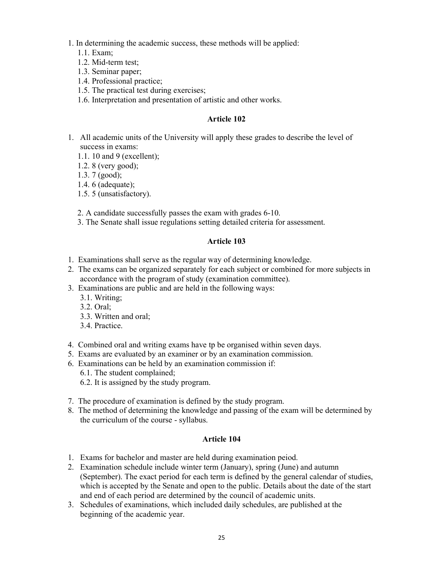- 1. In determining the academic success, these methods will be applied:
	- 1.1. Exam;
	- 1.2. Mid-term test;
	- 1.3. Seminar paper;
	- 1.4. Professional practice;
	- 1.5. The practical test during exercises;
	- 1.6. Interpretation and presentation of artistic and other works.

- 1. All academic units of the University will apply these grades to describe the level of success in exams:
	- 1.1. 10 and 9 (excellent);
	- 1.2. 8 (very good);
	- 1.3. 7 (good);
	- 1.4. 6 (adequate);
	- 1.5. 5 (unsatisfactory).

2. A candidate successfully passes the exam with grades 6-10.

3. The Senate shall issue regulations setting detailed criteria for assessment.

# Article 103

- 1. Examinations shall serve as the regular way of determining knowledge.
- 2. The exams can be organized separately for each subject or combined for more subjects in accordance with the program of study (examination committee).
- 3. Examinations are public and are held in the following ways:
	- 3.1. Writing;
	- 3.2. Oral;
	- 3.3. Written and oral;
	- 3.4. Practice.
- 4. Combined oral and writing exams have tp be organised within seven days.
- 5. Exams are evaluated by an examiner or by an examination commission.
- 6. Examinations can be held by an examination commission if:
	- 6.1. The student complained;
	- 6.2. It is assigned by the study program.
- 7. The procedure of examination is defined by the study program.
- 8. The method of determining the knowledge and passing of the exam will be determined by the curriculum of the course - syllabus.

- 1. Exams for bachelor and master are held during examination peiod.
- 2. Examination schedule include winter term (January), spring (June) and autumn (September). The exact period for each term is defined by the general calendar of studies, which is accepted by the Senate and open to the public. Details about the date of the start and end of each period are determined by the council of academic units.
- 3. Schedules of examinations, which included daily schedules, are published at the beginning of the academic year.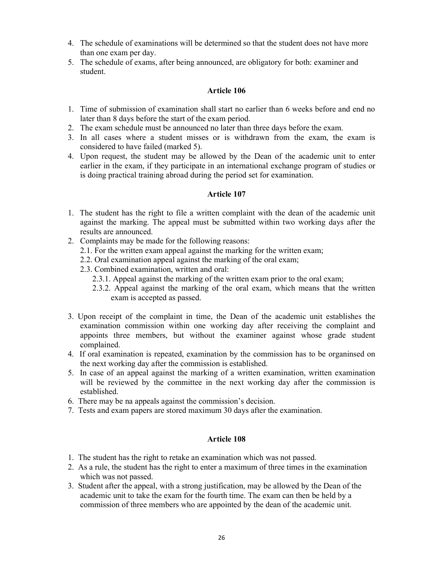- 4. The schedule of examinations will be determined so that the student does not have more than one exam per day.
- 5. The schedule of exams, after being announced, are obligatory for both: examiner and student.

- 1. Time of submission of examination shall start no earlier than 6 weeks before and end no later than 8 days before the start of the exam period.
- 2. The exam schedule must be announced no later than three days before the exam.
- 3. In all cases where a student misses or is withdrawn from the exam, the exam is considered to have failed (marked 5).
- 4. Upon request, the student may be allowed by the Dean of the academic unit to enter earlier in the exam, if they participate in an international exchange program of studies or is doing practical training abroad during the period set for examination.

## Article 107

- 1. The student has the right to file a written complaint with the dean of the academic unit against the marking. The appeal must be submitted within two working days after the results are announced.
- 2. Complaints may be made for the following reasons:
	- 2.1. For the written exam appeal against the marking for the written exam;
	- 2.2. Oral examination appeal against the marking of the oral exam;
	- 2.3. Combined examination, written and oral:
		- 2.3.1. Appeal against the marking of the written exam prior to the oral exam;
		- 2.3.2. Appeal against the marking of the oral exam, which means that the written exam is accepted as passed.
- 3. Upon receipt of the complaint in time, the Dean of the academic unit establishes the examination commission within one working day after receiving the complaint and appoints three members, but without the examiner against whose grade student complained.
- 4. If oral examination is repeated, examination by the commission has to be organinsed on the next working day after the commission is established.
- 5. In case of an appeal against the marking of a written examination, written examination will be reviewed by the committee in the next working day after the commission is established.
- 6. There may be na appeals against the commission's decision.
- 7. Tests and exam papers are stored maximum 30 days after the examination.

- 1. The student has the right to retake an examination which was not passed.
- 2. As a rule, the student has the right to enter a maximum of three times in the examination which was not passed.
- 3. Student after the appeal, with a strong justification, may be allowed by the Dean of the academic unit to take the exam for the fourth time. The exam can then be held by a commission of three members who are appointed by the dean of the academic unit.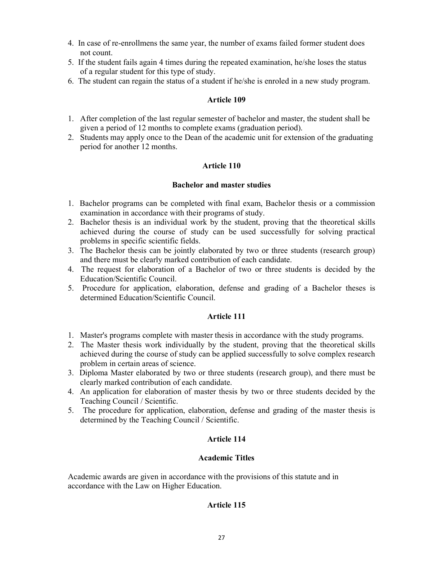- 4. In case of re-enrollmens the same year, the number of exams failed former student does not count.
- 5. If the student fails again 4 times during the repeated examination, he/she loses the status of a regular student for this type of study.
- 6. The student can regain the status of a student if he/she is enroled in a new study program.

- 1. After completion of the last regular semester of bachelor and master, the student shall be given a period of 12 months to complete exams (graduation period).
- 2. Students may apply once to the Dean of the academic unit for extension of the graduating period for another 12 months.

## Article 110

#### Bachelor and master studies

- 1. Bachelor programs can be completed with final exam, Bachelor thesis or a commission examination in accordance with their programs of study.
- 2. Bachelor thesis is an individual work by the student, proving that the theoretical skills achieved during the course of study can be used successfully for solving practical problems in specific scientific fields.
- 3. The Bachelor thesis can be jointly elaborated by two or three students (research group) and there must be clearly marked contribution of each candidate.
- 4. The request for elaboration of a Bachelor of two or three students is decided by the Education/Scientific Council.
- 5. Procedure for application, elaboration, defense and grading of a Bachelor theses is determined Education/Scientific Council.

## Article 111

- 1. Master's programs complete with master thesis in accordance with the study programs.
- 2. The Master thesis work individually by the student, proving that the theoretical skills achieved during the course of study can be applied successfully to solve complex research problem in certain areas of science.
- 3. Diploma Master elaborated by two or three students (research group), and there must be clearly marked contribution of each candidate.
- 4. An application for elaboration of master thesis by two or three students decided by the Teaching Council / Scientific.
- 5. The procedure for application, elaboration, defense and grading of the master thesis is determined by the Teaching Council / Scientific.

## Article 114

## Academic Titles

Academic awards are given in accordance with the provisions of this statute and in accordance with the Law on Higher Education.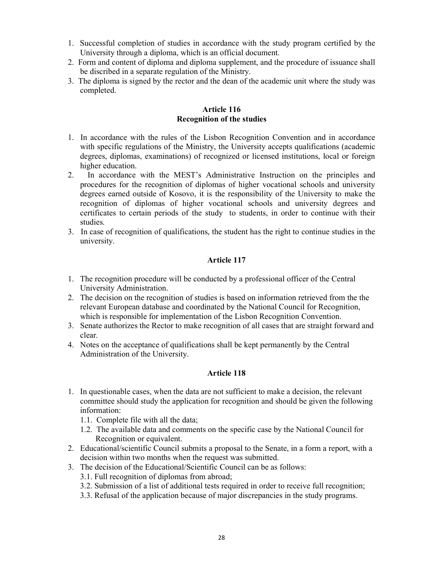- 1. Successful completion of studies in accordance with the study program certified by the University through a diploma, which is an official document.
- 2. Form and content of diploma and diploma supplement, and the procedure of issuance shall be discribed in a separate regulation of the Ministry.
- 3. The diploma is signed by the rector and the dean of the academic unit where the study was completed.

## Article 116 Recognition of the studies

- 1. In accordance with the rules of the Lisbon Recognition Convention and in accordance with specific regulations of the Ministry, the University accepts qualifications (academic degrees, diplomas, examinations) of recognized or licensed institutions, local or foreign higher education.
- 2. In accordance with the MEST's Administrative Instruction on the principles and procedures for the recognition of diplomas of higher vocational schools and university degrees earned outside of Kosovo, it is the responsibility of the University to make the recognition of diplomas of higher vocational schools and university degrees and certificates to certain periods of the study to students, in order to continue with their studies.
- 3. In case of recognition of qualifications, the student has the right to continue studies in the university.

# Article 117

- 1. The recognition procedure will be conducted by a professional officer of the Central University Administration.
- 2. The decision on the recognition of studies is based on information retrieved from the the relevant European database and coordinated by the National Council for Recognition, which is responsible for implementation of the Lisbon Recognition Convention.
- 3. Senate authorizes the Rector to make recognition of all cases that are straight forward and clear.
- 4. Notes on the acceptance of qualifications shall be kept permanently by the Central Administration of the University.

- 1. In questionable cases, when the data are not sufficient to make a decision, the relevant committee should study the application for recognition and should be given the following information:
	- 1.1. Complete file with all the data;
	- 1.2. The available data and comments on the specific case by the National Council for Recognition or equivalent.
- 2. Educational/scientific Council submits a proposal to the Senate, in a form a report, with a decision within two months when the request was submitted.
- 3. The decision of the Educational/Scientific Council can be as follows:
	- 3.1. Full recognition of diplomas from abroad;
	- 3.2. Submission of a list of additional tests required in order to receive full recognition;
	- 3.3. Refusal of the application because of major discrepancies in the study programs.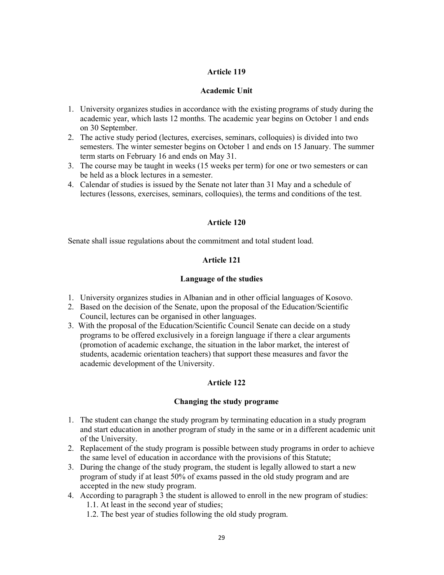#### Academic Unit

- 1. University organizes studies in accordance with the existing programs of study during the academic year, which lasts 12 months. The academic year begins on October 1 and ends on 30 September.
- 2. The active study period (lectures, exercises, seminars, colloquies) is divided into two semesters. The winter semester begins on October 1 and ends on 15 January. The summer term starts on February 16 and ends on May 31.
- 3. The course may be taught in weeks (15 weeks per term) for one or two semesters or can be held as a block lectures in a semester.
- 4. Calendar of studies is issued by the Senate not later than 31 May and a schedule of lectures (lessons, exercises, seminars, colloquies), the terms and conditions of the test.

#### Article 120

Senate shall issue regulations about the commitment and total student load.

## Article 121

## Language of the studies

- 1. University organizes studies in Albanian and in other official languages of Kosovo.
- 2. Based on the decision of the Senate, upon the proposal of the Education/Scientific Council, lectures can be organised in other languages.
- 3. With the proposal of the Education/Scientific Council Senate can decide on a study programs to be offered exclusively in a foreign language if there a clear arguments (promotion of academic exchange, the situation in the labor market, the interest of students, academic orientation teachers) that support these measures and favor the academic development of the University.

## Article 122

#### Changing the study programe

- 1. The student can change the study program by terminating education in a study program and start education in another program of study in the same or in a different academic unit of the University.
- 2. Replacement of the study program is possible between study programs in order to achieve the same level of education in accordance with the provisions of this Statute;
- 3. During the change of the study program, the student is legally allowed to start a new program of study if at least 50% of exams passed in the old study program and are accepted in the new study program.
- 4. According to paragraph 3 the student is allowed to enroll in the new program of studies: 1.1. At least in the second year of studies;
	- 1.2. The best year of studies following the old study program.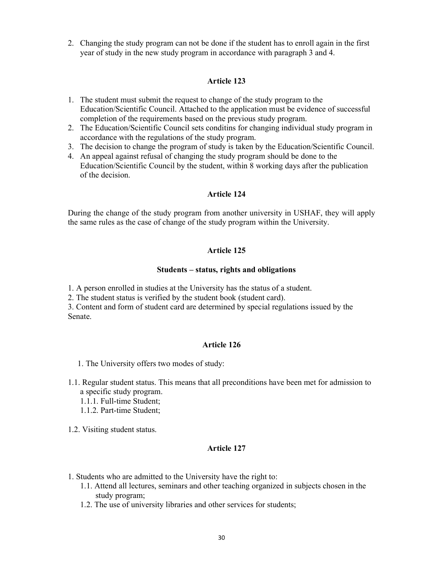2. Changing the study program can not be done if the student has to enroll again in the first year of study in the new study program in accordance with paragraph 3 and 4.

#### Article 123

- 1. The student must submit the request to change of the study program to the Education/Scientific Council. Attached to the application must be evidence of successful completion of the requirements based on the previous study program.
- 2. The Education/Scientific Council sets conditins for changing individual study program in accordance with the regulations of the study program.
- 3. The decision to change the program of study is taken by the Education/Scientific Council.
- 4. An appeal against refusal of changing the study program should be done to the Education/Scientific Council by the student, within 8 working days after the publication of the decision.

## Article 124

During the change of the study program from another university in USHAF, they will apply the same rules as the case of change of the study program within the University.

#### Article 125

#### Students – status, rights and obligations

1. A person enrolled in studies at the University has the status of a student.

2. The student status is verified by the student book (student card).

3. Content and form of student card are determined by special regulations issued by the Senate.

#### Article 126

1. The University offers two modes of study:

- 1.1. Regular student status. This means that all preconditions have been met for admission to a specific study program.
	- 1.1.1. Full-time Student;
	- 1.1.2. Part-time Student;
- 1.2. Visiting student status.

- 1. Students who are admitted to the University have the right to:
	- 1.1. Attend all lectures, seminars and other teaching organized in subjects chosen in the study program;
	- 1.2. The use of university libraries and other services for students;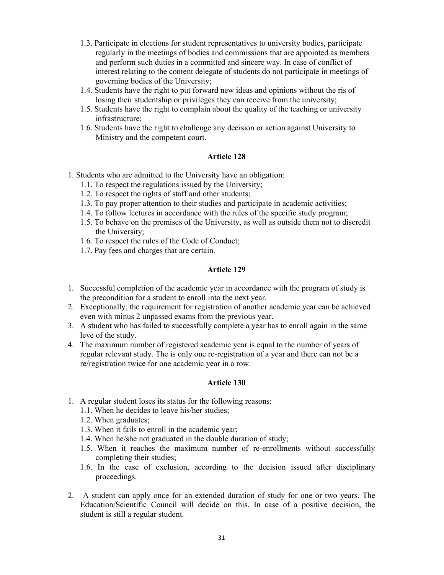- 1.3. Participate in elections for student representatives to university bodies, participate regularly in the meetings of bodies and commissions that are appointed as members and perform such duties in a committed and sincere way. In case of conflict of interest relating to the content delegate of students do not participate in meetings of governing bodies of the University;
- 1.4. Students have the right to put forward new ideas and opinions without the ris of losing their studentship or privileges they can receive from the university;
- 1.5. Students have the right to complain about the quality of the teaching or university infrastructure;
- 1.6. Students have the right to challenge any decision or action against University to Ministry and the competent court.

- 1. Students who are admitted to the University have an obligation:
	- 1.1. To respect the regulations issued by the University;
	- 1.2. To respect the rights of staff and other students;
	- 1.3. To pay proper attention to their studies and participate in academic activities;
	- 1.4. To follow lectures in accordance with the rules of the specific study program;
	- 1.5. To behave on the premises of the University, as well as outside them not to discredit the University;
	- 1.6. To respect the rules of the Code of Conduct;
	- 1.7. Pay fees and charges that are certain.

## Article 129

- 1. Successful completion of the academic year in accordance with the program of study is the precondition for a student to enroll into the next year.
- 2. Exceptionally, the requirement for registration of another academic year can be achieved even with minus 2 unpassed exams from the previous year.
- 3. A student who has failed to successfully complete a year has to enroll again in the same leve of the study.
- 4. The maximum number of registered academic year is equal to the number of years of regular relevant study. The is only one re-registration of a year and there can not be a re/registration twice for one academic year in a row.

- 1. A regular student loses its status for the following reasons:
	- 1.1. When he decides to leave his/her studies;
	- 1.2. When graduates;
	- 1.3. When it fails to enroll in the academic year;
	- 1.4. When he/she not graduated in the double duration of study;
	- 1.5. When it reaches the maximum number of re-enrollments without successfully completing their studies;
	- 1.6. In the case of exclusion, according to the decision issued after disciplinary proceedings.
- 2. A student can apply once for an extended duration of study for one or two years. The Education/Scientific Council will decide on this. In case of a positive decision, the student is still a regular student.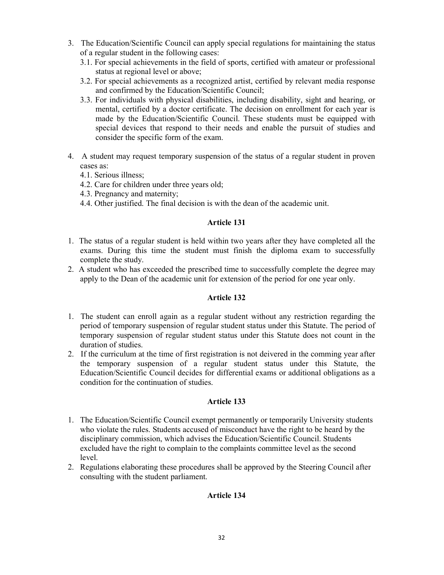- 3. The Education/Scientific Council can apply special regulations for maintaining the status of a regular student in the following cases:
	- 3.1. For special achievements in the field of sports, certified with amateur or professional status at regional level or above;
	- 3.2. For special achievements as a recognized artist, certified by relevant media response and confirmed by the Education/Scientific Council;
	- 3.3. For individuals with physical disabilities, including disability, sight and hearing, or mental, certified by a doctor certificate. The decision on enrollment for each year is made by the Education/Scientific Council. These students must be equipped with special devices that respond to their needs and enable the pursuit of studies and consider the specific form of the exam.
- 4. A student may request temporary suspension of the status of a regular student in proven cases as:
	- 4.1. Serious illness;
	- 4.2. Care for children under three years old;
	- 4.3. Pregnancy and maternity;
	- 4.4. Other justified. The final decision is with the dean of the academic unit.

- 1. The status of a regular student is held within two years after they have completed all the exams. During this time the student must finish the diploma exam to successfully complete the study.
- 2. A student who has exceeded the prescribed time to successfully complete the degree may apply to the Dean of the academic unit for extension of the period for one year only.

## Article 132

- 1. The student can enroll again as a regular student without any restriction regarding the period of temporary suspension of regular student status under this Statute. The period of temporary suspension of regular student status under this Statute does not count in the duration of studies.
- 2. If the curriculum at the time of first registration is not deivered in the comming year after the temporary suspension of a regular student status under this Statute, the Education/Scientific Council decides for differential exams or additional obligations as a condition for the continuation of studies.

## Article 133

- 1. The Education/Scientific Council exempt permanently or temporarily University students who violate the rules. Students accused of misconduct have the right to be heard by the disciplinary commission, which advises the Education/Scientific Council. Students excluded have the right to complain to the complaints committee level as the second level.
- 2. Regulations elaborating these procedures shall be approved by the Steering Council after consulting with the student parliament.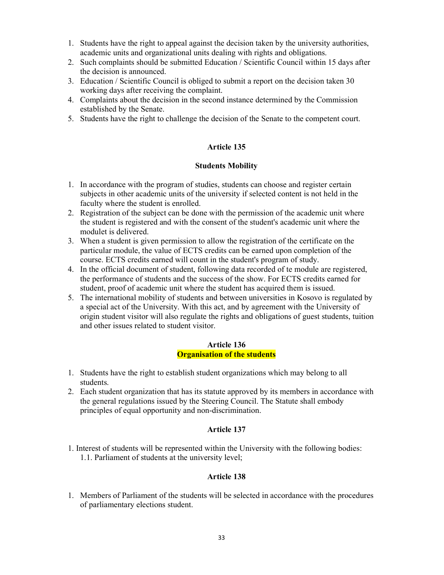- 1. Students have the right to appeal against the decision taken by the university authorities, academic units and organizational units dealing with rights and obligations.
- 2. Such complaints should be submitted Education / Scientific Council within 15 days after the decision is announced.
- 3. Education / Scientific Council is obliged to submit a report on the decision taken 30 working days after receiving the complaint.
- 4. Complaints about the decision in the second instance determined by the Commission established by the Senate.
- 5. Students have the right to challenge the decision of the Senate to the competent court.

#### Students Mobility

- 1. In accordance with the program of studies, students can choose and register certain subjects in other academic units of the university if selected content is not held in the faculty where the student is enrolled.
- 2. Registration of the subject can be done with the permission of the academic unit where the student is registered and with the consent of the student's academic unit where the modulet is delivered.
- 3. When a student is given permission to allow the registration of the certificate on the particular module, the value of ECTS credits can be earned upon completion of the course. ECTS credits earned will count in the student's program of study.
- 4. In the official document of student, following data recorded of te module are registered, the performance of students and the success of the show. For ECTS credits earned for student, proof of academic unit where the student has acquired them is issued.
- 5. The international mobility of students and between universities in Kosovo is regulated by a special act of the University. With this act, and by agreement with the University of origin student visitor will also regulate the rights and obligations of guest students, tuition and other issues related to student visitor.

#### Article 136 **Organisation of the students**

- 1. Students have the right to establish student organizations which may belong to all students.
- 2. Each student organization that has its statute approved by its members in accordance with the general regulations issued by the Steering Council. The Statute shall embody principles of equal opportunity and non-discrimination.

## Article 137

1. Interest of students will be represented within the University with the following bodies: 1.1. Parliament of students at the university level;

## Article 138

1. Members of Parliament of the students will be selected in accordance with the procedures of parliamentary elections student.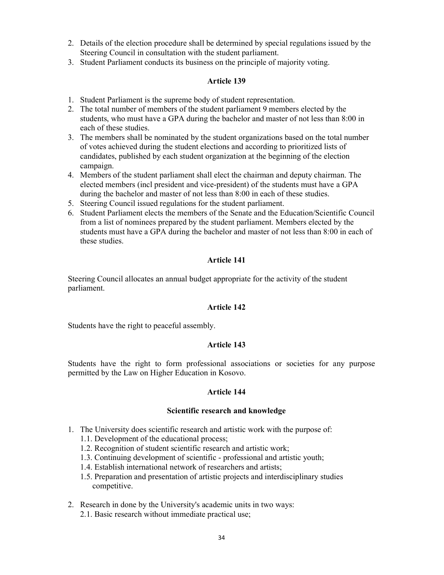- 2. Details of the election procedure shall be determined by special regulations issued by the Steering Council in consultation with the student parliament.
- 3. Student Parliament conducts its business on the principle of majority voting.

- 1. Student Parliament is the supreme body of student representation.
- 2. The total number of members of the student parliament 9 members elected by the students, who must have a GPA during the bachelor and master of not less than 8:00 in each of these studies.
- 3. The members shall be nominated by the student organizations based on the total number of votes achieved during the student elections and according to prioritized lists of candidates, published by each student organization at the beginning of the election campaign.
- 4. Members of the student parliament shall elect the chairman and deputy chairman. The elected members (incl president and vice-president) of the students must have a GPA during the bachelor and master of not less than 8:00 in each of these studies.
- 5. Steering Council issued regulations for the student parliament.
- 6. Student Parliament elects the members of the Senate and the Education/Scientific Council from a list of nominees prepared by the student parliament. Members elected by the students must have a GPA during the bachelor and master of not less than 8:00 in each of these studies.

## Article 141

Steering Council allocates an annual budget appropriate for the activity of the student parliament.

## Article 142

Students have the right to peaceful assembly.

## Article 143

Students have the right to form professional associations or societies for any purpose permitted by the Law on Higher Education in Kosovo.

## Article 144

## Scientific research and knowledge

- 1. The University does scientific research and artistic work with the purpose of:
	- 1.1. Development of the educational process;
	- 1.2. Recognition of student scientific research and artistic work;
	- 1.3. Continuing development of scientific professional and artistic youth;
	- 1.4. Establish international network of researchers and artists;
	- 1.5. Preparation and presentation of artistic projects and interdisciplinary studies competitive.
- 2. Research in done by the University's academic units in two ways:
	- 2.1. Basic research without immediate practical use;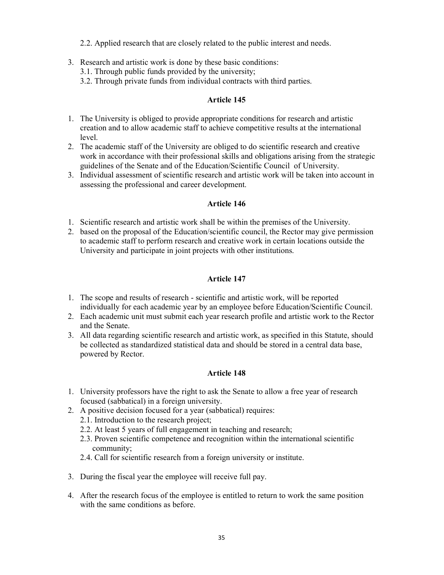2.2. Applied research that are closely related to the public interest and needs.

- 3. Research and artistic work is done by these basic conditions:
	- 3.1. Through public funds provided by the university;
	- 3.2. Through private funds from individual contracts with third parties.

# Article 145

- 1. The University is obliged to provide appropriate conditions for research and artistic creation and to allow academic staff to achieve competitive results at the international level.
- 2. The academic staff of the University are obliged to do scientific research and creative work in accordance with their professional skills and obligations arising from the strategic guidelines of the Senate and of the Education/Scientific Council of University.
- 3. Individual assessment of scientific research and artistic work will be taken into account in assessing the professional and career development.

# Article 146

- 1. Scientific research and artistic work shall be within the premises of the University.
- 2. based on the proposal of the Education/scientific council, the Rector may give permission to academic staff to perform research and creative work in certain locations outside the University and participate in joint projects with other institutions.

# Article 147

- 1. The scope and results of research scientific and artistic work, will be reported individually for each academic year by an employee before Education/Scientific Council.
- 2. Each academic unit must submit each year research profile and artistic work to the Rector and the Senate.
- 3. All data regarding scientific research and artistic work, as specified in this Statute, should be collected as standardized statistical data and should be stored in a central data base, powered by Rector.

- 1. University professors have the right to ask the Senate to allow a free year of research focused (sabbatical) in a foreign university.
- 2. A positive decision focused for a year (sabbatical) requires:
	- 2.1. Introduction to the research project;
	- 2.2. At least 5 years of full engagement in teaching and research;
	- 2.3. Proven scientific competence and recognition within the international scientific community;
	- 2.4. Call for scientific research from a foreign university or institute.
- 3. During the fiscal year the employee will receive full pay.
- 4. After the research focus of the employee is entitled to return to work the same position with the same conditions as before.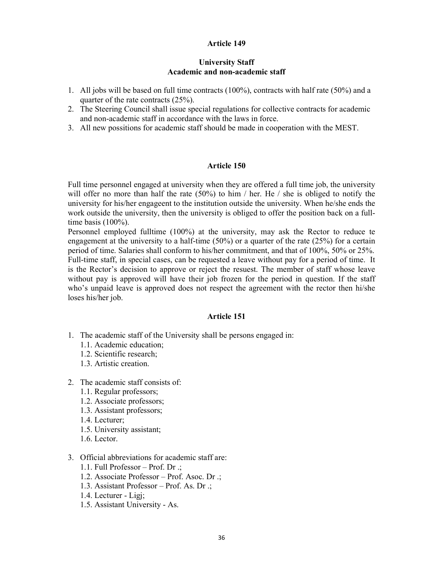## University Staff Academic and non-academic staff

- 1. All jobs will be based on full time contracts (100%), contracts with half rate (50%) and a quarter of the rate contracts (25%).
- 2. The Steering Council shall issue special regulations for collective contracts for academic and non-academic staff in accordance with the laws in force.
- 3. All new possitions for academic staff should be made in cooperation with the MEST.

#### Article 150

Full time personnel engaged at university when they are offered a full time job, the university will offer no more than half the rate  $(50%)$  to him / her. He / she is obliged to notify the university for his/her engageent to the institution outside the university. When he/she ends the work outside the university, then the university is obliged to offer the position back on a fulltime basis (100%).

Personnel employed fulltime (100%) at the university, may ask the Rector to reduce te engagement at the university to a half-time  $(50\%)$  or a quarter of the rate  $(25\%)$  for a certain period of time. Salaries shall conform to his/her commitment, and that of 100%, 50% or 25%. Full-time staff, in special cases, can be requested a leave without pay for a period of time. It is the Rector's decision to approve or reject the resuest. The member of staff whose leave without pay is approved will have their job frozen for the period in question. If the staff who's unpaid leave is approved does not respect the agreement with the rector then hi/she loses his/her job.

- 1. The academic staff of the University shall be persons engaged in:
	- 1.1. Academic education;
	- 1.2. Scientific research;
	- 1.3. Artistic creation.
- 2. The academic staff consists of:
	- 1.1. Regular professors;
	- 1.2. Associate professors;
	- 1.3. Assistant professors;
	- 1.4. Lecturer;
	- 1.5. University assistant;
	- 1.6. Lector.
- 3. Official abbreviations for academic staff are:
	- 1.1. Full Professor Prof. Dr .;
	- 1.2. Associate Professor Prof. Asoc. Dr .;
	- 1.3. Assistant Professor Prof. As. Dr .;
	- 1.4. Lecturer Ligj;
	- 1.5. Assistant University As.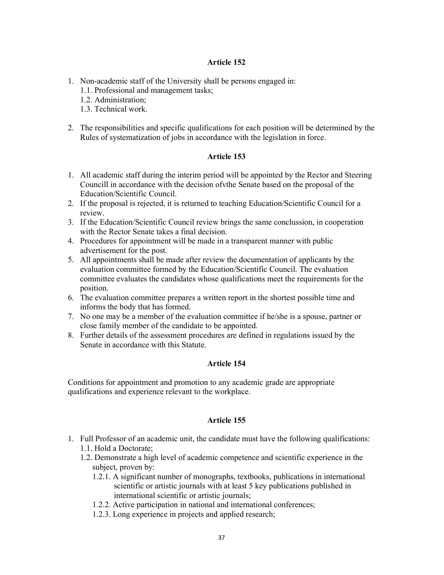- 1. Non-academic staff of the University shall be persons engaged in:
	- 1.1. Professional and management tasks;
	- 1.2. Administration;
	- 1.3. Technical work.
- 2. The responsibilities and specific qualifications for each position will be determined by the Rules of systematization of jobs in accordance with the legislation in force.

## Article 153

- 1. All academic staff during the interim period will be appointed by the Rector and Steering Councill in accordance with the decision ofvthe Senate based on the proposal of the Education/Scientific Council.
- 2. If the proposal is rejected, it is returned to teaching Education/Scientific Council for a review.
- 3. If the Education/Scientific Council review brings the same conclussion, in cooperation with the Rector Senate takes a final decision.
- 4. Procedures for appointment will be made in a transparent manner with public advertisement for the post.
- 5. All appointments shall be made after review the documentation of applicants by the evaluation committee formed by the Education/Scientific Council. The evaluation committee evaluates the candidates whose qualifications meet the requirements for the position.
- 6. The evaluation committee prepares a written report in the shortest possible time and informs the body that has formed.
- 7. No one may be a member of the evaluation committee if he/she is a spouse, partner or close family member of the candidate to be appointed.
- 8. Further details of the assessment procedures are defined in regulations issued by the Senate in accordance with this Statute.

# Article 154

Conditions for appointment and promotion to any academic grade are appropriate qualifications and experience relevant to the workplace.

- 1. Full Professor of an academic unit, the candidate must have the following qualifications: 1.1. Hold a Doctorate;
	- 1.2. Demonstrate a high level of academic competence and scientific experience in the subject, proven by:
		- 1.2.1. A significant number of monographs, textbooks, publications in international scientific or artistic journals with at least 5 key publications published in international scientific or artistic journals;
		- 1.2.2. Active participation in national and international conferences;
		- 1.2.3. Long experience in projects and applied research;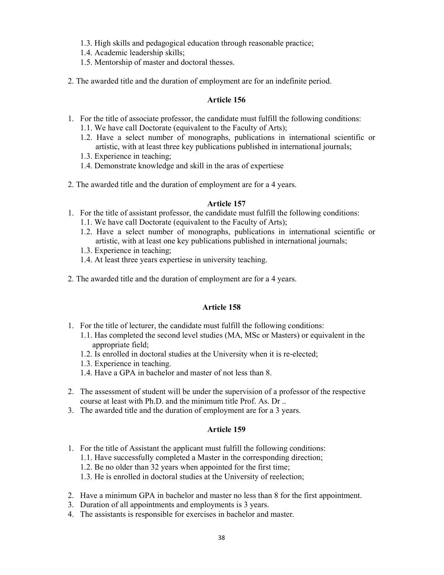- 1.3. High skills and pedagogical education through reasonable practice;
- 1.4. Academic leadership skills;
- 1.5. Mentorship of master and doctoral thesses.
- 2. The awarded title and the duration of employment are for an indefinite period.

- 1. For the title of associate professor, the candidate must fulfill the following conditions:
	- 1.1. We have call Doctorate (equivalent to the Faculty of Arts);
	- 1.2. Have a select number of monographs, publications in international scientific or artistic, with at least three key publications published in international journals;
	- 1.3. Experience in teaching;
	- 1.4. Demonstrate knowledge and skill in the aras of expertiese
- 2. The awarded title and the duration of employment are for a 4 years.

## Article 157

- 1. For the title of assistant professor, the candidate must fulfill the following conditions:
	- 1.1. We have call Doctorate (equivalent to the Faculty of Arts);
	- 1.2. Have a select number of monographs, publications in international scientific or artistic, with at least one key publications published in international journals;
	- 1.3. Experience in teaching;
	- 1.4. At least three years expertiese in university teaching.
- 2. The awarded title and the duration of employment are for a 4 years.

# Article 158

- 1. For the title of lecturer, the candidate must fulfill the following conditions:
	- 1.1. Has completed the second level studies (MA, MSc or Masters) or equivalent in the appropriate field;
	- 1.2. Is enrolled in doctoral studies at the University when it is re-elected;
	- 1.3. Experience in teaching.
	- 1.4. Have a GPA in bachelor and master of not less than 8.
- 2. The assessment of student will be under the supervision of a professor of the respective course at least with Ph.D. and the minimum title Prof. As. Dr ..
- 3. The awarded title and the duration of employment are for a 3 years.

- 1. For the title of Assistant the applicant must fulfill the following conditions:
	- 1.1. Have successfully completed a Master in the corresponding direction;
	- 1.2. Be no older than 32 years when appointed for the first time;
	- 1.3. He is enrolled in doctoral studies at the University of reelection;
- 2. Have a minimum GPA in bachelor and master no less than 8 for the first appointment.
- 3. Duration of all appointments and employments is 3 years.
- 4. The assistants is responsible for exercises in bachelor and master.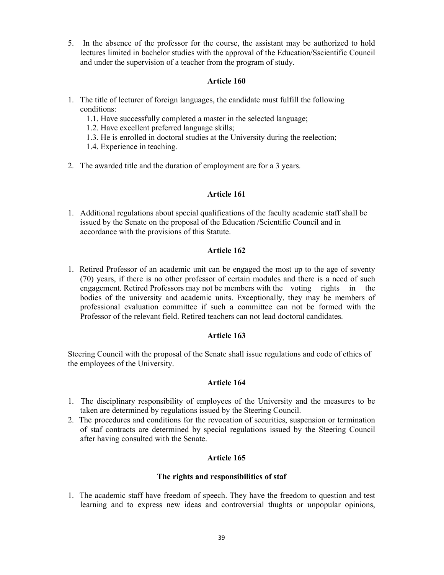5. In the absence of the professor for the course, the assistant may be authorized to hold lectures limited in bachelor studies with the approval of the Education/Sscientific Council and under the supervision of a teacher from the program of study.

## Article 160

- 1. The title of lecturer of foreign languages, the candidate must fulfill the following conditions:
	- 1.1. Have successfully completed a master in the selected language;
	- 1.2. Have excellent preferred language skills;
	- 1.3. He is enrolled in doctoral studies at the University during the reelection;
	- 1.4. Experience in teaching.
- 2. The awarded title and the duration of employment are for a 3 years.

## Article 161

1. Additional regulations about special qualifications of the faculty academic staff shall be issued by the Senate on the proposal of the Education /Scientific Council and in accordance with the provisions of this Statute.

## Article 162

1. Retired Professor of an academic unit can be engaged the most up to the age of seventy (70) years, if there is no other professor of certain modules and there is a need of such engagement. Retired Professors may not be members with the voting rights in the bodies of the university and academic units. Exceptionally, they may be members of professional evaluation committee if such a committee can not be formed with the Professor of the relevant field. Retired teachers can not lead doctoral candidates.

## Article 163

Steering Council with the proposal of the Senate shall issue regulations and code of ethics of the employees of the University.

## Article 164

- 1. The disciplinary responsibility of employees of the University and the measures to be taken are determined by regulations issued by the Steering Council.
- 2. The procedures and conditions for the revocation of securities, suspension or termination of staf contracts are determined by special regulations issued by the Steering Council after having consulted with the Senate.

## Article 165

## The rights and responsibilities of staf

1. The academic staff have freedom of speech. They have the freedom to question and test learning and to express new ideas and controversial thughts or unpopular opinions,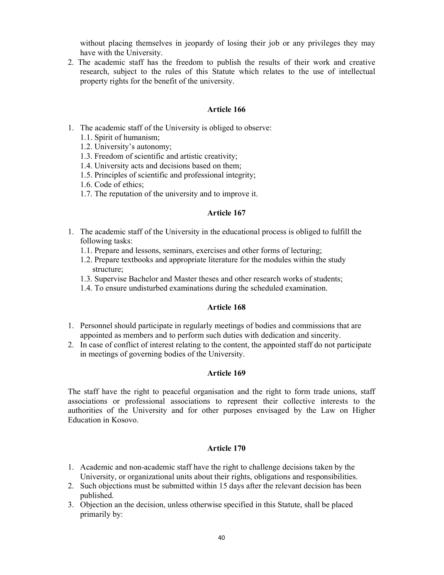without placing themselves in jeopardy of losing their job or any privileges they may have with the University.

2. The academic staff has the freedom to publish the results of their work and creative research, subject to the rules of this Statute which relates to the use of intellectual property rights for the benefit of the university.

## Article 166

- 1. The academic staff of the University is obliged to observe:
	- 1.1. Spirit of humanism;
	- 1.2. University's autonomy;
	- 1.3. Freedom of scientific and artistic creativity;
	- 1.4. University acts and decisions based on them;
	- 1.5. Principles of scientific and professional integrity;
	- 1.6. Code of ethics;
	- 1.7. The reputation of the university and to improve it.

#### Article 167

- 1. The academic staff of the University in the educational process is obliged to fulfill the following tasks:
	- 1.1. Prepare and lessons, seminars, exercises and other forms of lecturing;
	- 1.2. Prepare textbooks and appropriate literature for the modules within the study structure;
	- 1.3. Supervise Bachelor and Master theses and other research works of students;
	- 1.4. To ensure undisturbed examinations during the scheduled examination.

## Article 168

- 1. Personnel should participate in regularly meetings of bodies and commissions that are appointed as members and to perform such duties with dedication and sincerity.
- 2. In case of conflict of interest relating to the content, the appointed staff do not participate in meetings of governing bodies of the University.

## Article 169

The staff have the right to peaceful organisation and the right to form trade unions, staff associations or professional associations to represent their collective interests to the authorities of the University and for other purposes envisaged by the Law on Higher Education in Kosovo.

- 1. Academic and non-academic staff have the right to challenge decisions taken by the University, or organizational units about their rights, obligations and responsibilities.
- 2. Such objections must be submitted within 15 days after the relevant decision has been published.
- 3. Objection an the decision, unless otherwise specified in this Statute, shall be placed primarily by: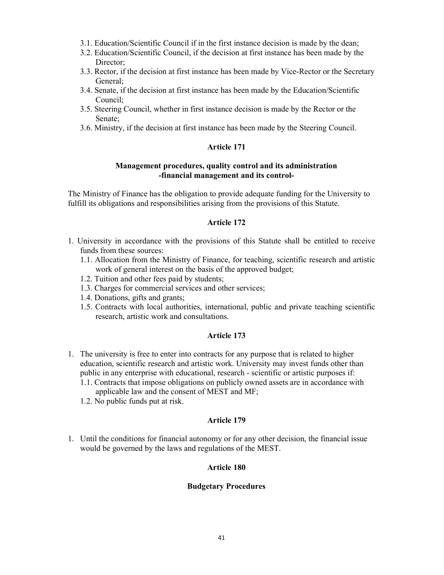- 3.1. Education/Scientific Council if in the first instance decision is made by the dean;
- 3.2. Education/Scientific Council, if the decision at first instance has been made by the Director:
- 3.3. Rector, if the decision at first instance has been made by Vice-Rector or the Secretary General;
- 3.4. Senate, if the decision at first instance has been made by the Education/Scientific Council;
- 3.5. Steering Council, whether in first instance decision is made by the Rector or the Senate;
- 3.6. Ministry, if the decision at first instance has been made by the Steering Council.

#### Management procedures, quality control and its administration -financial management and its control-

The Ministry of Finance has the obligation to provide adequate funding for the University to fulfill its obligations and responsibilities arising from the provisions of this Statute.

#### Article 172

- 1. University in accordance with the provisions of this Statute shall be entitled to receive funds from these sources:
	- 1.1. Allocation from the Ministry of Finance, for teaching, scientific research and artistic work of general interest on the basis of the approved budget;
	- 1.2. Tuition and other fees paid by students;
	- 1.3. Charges for commercial services and other services;
	- 1.4. Donations, gifts and grants;
	- 1.5. Contracts with local authorities, international, public and private teaching scientific research, artistic work and consultations.

## Article 173

- 1. The university is free to enter into contracts for any purpose that is related to higher education, scientific research and artistic work. University may invest funds other than public in any enterprise with educational, research - scientific or artistic purposes if: 1.1. Contracts that impose obligations on publicly owned assets are in accordance with
	- applicable law and the consent of MEST and MF;
	- 1.2. No public funds put at risk.

#### Article 179

1. Until the conditions for financial autonomy or for any other decision, the financial issue would be governed by the laws and regulations of the MEST.

## Article 180

#### Budgetary Procedures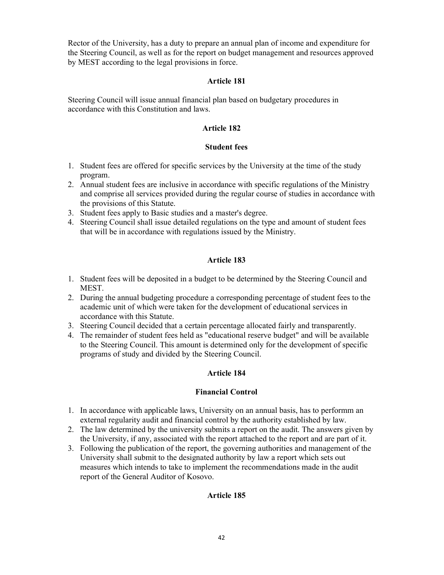Rector of the University, has a duty to prepare an annual plan of income and expenditure for the Steering Council, as well as for the report on budget management and resources approved by MEST according to the legal provisions in force.

## Article 181

Steering Council will issue annual financial plan based on budgetary procedures in accordance with this Constitution and laws.

## Article 182

## Student fees

- 1. Student fees are offered for specific services by the University at the time of the study program.
- 2. Annual student fees are inclusive in accordance with specific regulations of the Ministry and comprise all services provided during the regular course of studies in accordance with the provisions of this Statute.
- 3. Student fees apply to Basic studies and a master's degree.
- 4. Steering Council shall issue detailed regulations on the type and amount of student fees that will be in accordance with regulations issued by the Ministry.

## Article 183

- 1. Student fees will be deposited in a budget to be determined by the Steering Council and MEST.
- 2. During the annual budgeting procedure a corresponding percentage of student fees to the academic unit of which were taken for the development of educational services in accordance with this Statute.
- 3. Steering Council decided that a certain percentage allocated fairly and transparently.
- 4. The remainder of student fees held as "educational reserve budget" and will be available to the Steering Council. This amount is determined only for the development of specific programs of study and divided by the Steering Council.

## Article 184

#### Financial Control

- 1. In accordance with applicable laws, University on an annual basis, has to performm an external regularity audit and financial control by the authority established by law.
- 2. The law determined by the university submits a report on the audit. The answers given by the University, if any, associated with the report attached to the report and are part of it.
- 3. Following the publication of the report, the governing authorities and management of the University shall submit to the designated authority by law a report which sets out measures which intends to take to implement the recommendations made in the audit report of the General Auditor of Kosovo.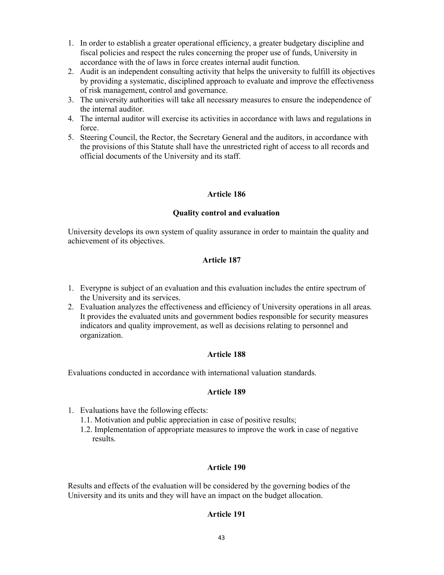- 1. In order to establish a greater operational efficiency, a greater budgetary discipline and fiscal policies and respect the rules concerning the proper use of funds, University in accordance with the of laws in force creates internal audit function.
- 2. Audit is an independent consulting activity that helps the university to fulfill its objectives by providing a systematic, disciplined approach to evaluate and improve the effectiveness of risk management, control and governance.
- 3. The university authorities will take all necessary measures to ensure the independence of the internal auditor.
- 4. The internal auditor will exercise its activities in accordance with laws and regulations in force.
- 5. Steering Council, the Rector, the Secretary General and the auditors, in accordance with the provisions of this Statute shall have the unrestricted right of access to all records and official documents of the University and its staff.

## Quality control and evaluation

University develops its own system of quality assurance in order to maintain the quality and achievement of its objectives.

#### Article 187

- 1. Everypne is subject of an evaluation and this evaluation includes the entire spectrum of the University and its services.
- 2. Evaluation analyzes the effectiveness and efficiency of University operations in all areas. It provides the evaluated units and government bodies responsible for security measures indicators and quality improvement, as well as decisions relating to personnel and organization.

#### Article 188

Evaluations conducted in accordance with international valuation standards.

## Article 189

- 1. Evaluations have the following effects:
	- 1.1. Motivation and public appreciation in case of positive results;
	- 1.2. Implementation of appropriate measures to improve the work in case of negative results.

## Article 190

Results and effects of the evaluation will be considered by the governing bodies of the University and its units and they will have an impact on the budget allocation.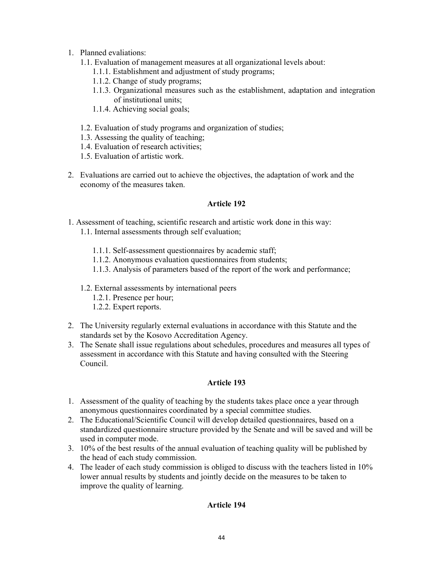- 1. Planned evaliations:
	- 1.1. Evaluation of management measures at all organizational levels about:
		- 1.1.1. Establishment and adjustment of study programs;
		- 1.1.2. Change of study programs;
		- 1.1.3. Organizational measures such as the establishment, adaptation and integration of institutional units;
		- 1.1.4. Achieving social goals;
	- 1.2. Evaluation of study programs and organization of studies;
	- 1.3. Assessing the quality of teaching;
	- 1.4. Evaluation of research activities;
	- 1.5. Evaluation of artistic work.
- 2. Evaluations are carried out to achieve the objectives, the adaptation of work and the economy of the measures taken.

- 1. Assessment of teaching, scientific research and artistic work done in this way:
	- 1.1. Internal assessments through self evaluation;
		- 1.1.1. Self-assessment questionnaires by academic staff;
		- 1.1.2. Anonymous evaluation questionnaires from students;
		- 1.1.3. Analysis of parameters based of the report of the work and performance;
	- 1.2. External assessments by international peers
		- 1.2.1. Presence per hour;
		- 1.2.2. Expert reports.
- 2. The University regularly external evaluations in accordance with this Statute and the standards set by the Kosovo Accreditation Agency.
- 3. The Senate shall issue regulations about schedules, procedures and measures all types of assessment in accordance with this Statute and having consulted with the Steering Council.

# Article 193

- 1. Assessment of the quality of teaching by the students takes place once a year through anonymous questionnaires coordinated by a special committee studies.
- 2. The Educational/Scientific Council will develop detailed questionnaires, based on a standardized questionnaire structure provided by the Senate and will be saved and will be used in computer mode.
- 3. 10% of the best results of the annual evaluation of teaching quality will be published by the head of each study commission.
- 4. The leader of each study commission is obliged to discuss with the teachers listed in 10% lower annual results by students and jointly decide on the measures to be taken to improve the quality of learning.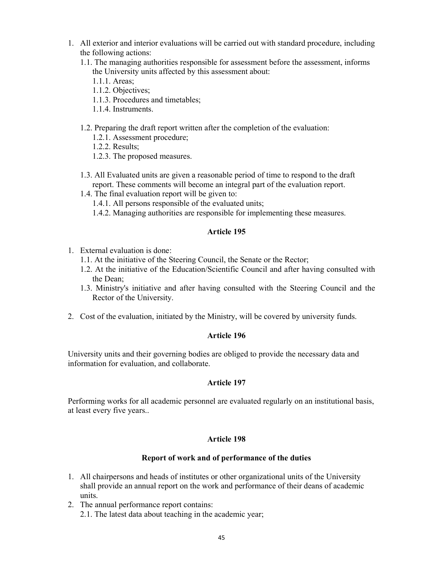- 1. All exterior and interior evaluations will be carried out with standard procedure, including the following actions:
	- 1.1. The managing authorities responsible for assessment before the assessment, informs the University units affected by this assessment about:
		- 1.1.1. Areas;
		- 1.1.2. Objectives;
		- 1.1.3. Procedures and timetables;
		- 1.1.4. Instruments.
	- 1.2. Preparing the draft report written after the completion of the evaluation:
		- 1.2.1. Assessment procedure;
		- 1.2.2. Results;
		- 1.2.3. The proposed measures.
	- 1.3. All Evaluated units are given a reasonable period of time to respond to the draft report. These comments will become an integral part of the evaluation report.
	- 1.4. The final evaluation report will be given to:
		- 1.4.1. All persons responsible of the evaluated units;
		- 1.4.2. Managing authorities are responsible for implementing these measures.

- 1. External evaluation is done:
	- 1.1. At the initiative of the Steering Council, the Senate or the Rector;
	- 1.2. At the initiative of the Education/Scientific Council and after having consulted with the Dean;
	- 1.3. Ministry's initiative and after having consulted with the Steering Council and the Rector of the University.
- 2. Cost of the evaluation, initiated by the Ministry, will be covered by university funds.

# Article 196

University units and their governing bodies are obliged to provide the necessary data and information for evaluation, and collaborate.

## Article 197

Performing works for all academic personnel are evaluated regularly on an institutional basis, at least every five years..

# Article 198

## Report of work and of performance of the duties

- 1. All chairpersons and heads of institutes or other organizational units of the University shall provide an annual report on the work and performance of their deans of academic units.
- 2. The annual performance report contains: 2.1. The latest data about teaching in the academic year;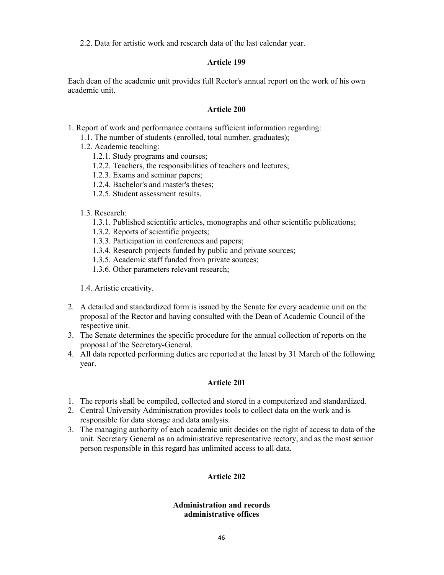2.2. Data for artistic work and research data of the last calendar year.

## Article 199

Each dean of the academic unit provides full Rector's annual report on the work of his own academic unit.

#### Article 200

- 1. Report of work and performance contains sufficient information regarding:
	- 1.1. The number of students (enrolled, total number, graduates);
	- 1.2. Academic teaching:
		- 1.2.1. Study programs and courses;
		- 1.2.2. Teachers, the responsibilities of teachers and lectures;
		- 1.2.3. Exams and seminar papers;
		- 1.2.4. Bachelor's and master's theses;
		- 1.2.5. Student assessment results.

#### 1.3. Research:

- 1.3.1. Published scientific articles, monographs and other scientific publications;
- 1.3.2. Reports of scientific projects;
- 1.3.3. Participation in conferences and papers;
- 1.3.4. Research projects funded by public and private sources;
- 1.3.5. Academic staff funded from private sources;
- 1.3.6. Other parameters relevant research;

1.4. Artistic creativity.

- 2. A detailed and standardized form is issued by the Senate for every academic unit on the proposal of the Rector and having consulted with the Dean of Academic Council of the respective unit.
- 3. The Senate determines the specific procedure for the annual collection of reports on the proposal of the Secretary-General.
- 4. All data reported performing duties are reported at the latest by 31 March of the following year.

#### Article 201

- 1. The reports shall be compiled, collected and stored in a computerized and standardized.
- 2. Central University Administration provides tools to collect data on the work and is responsible for data storage and data analysis.
- 3. The managing authority of each academic unit decides on the right of access to data of the unit. Secretary General as an administrative representative rectory, and as the most senior person responsible in this regard has unlimited access to all data.

## Article 202

## Administration and records administrative offices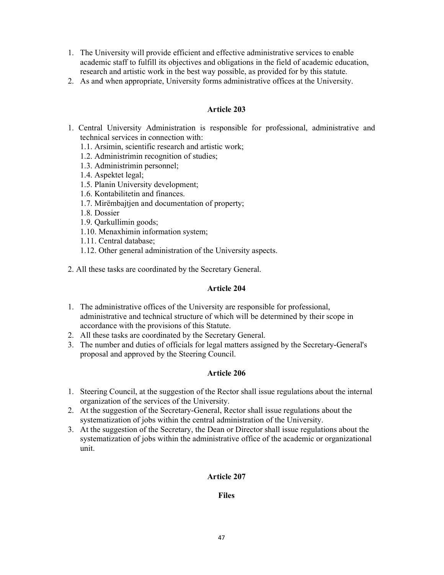- 1. The University will provide efficient and effective administrative services to enable academic staff to fulfill its objectives and obligations in the field of academic education, research and artistic work in the best way possible, as provided for by this statute.
- 2. As and when appropriate, University forms administrative offices at the University.

- 1. Central University Administration is responsible for professional, administrative and technical services in connection with:
	- 1.1. Arsimin, scientific research and artistic work;
	- 1.2. Administrimin recognition of studies;
	- 1.3. Administrimin personnel;
	- 1.4. Aspektet legal;
	- 1.5. Planin University development;
	- 1.6. Kontabilitetin and finances.
	- 1.7. Mirëmbajtjen and documentation of property;
	- 1.8. Dossier
	- 1.9. Qarkullimin goods;
	- 1.10. Menaxhimin information system;
	- 1.11. Central database;
	- 1.12. Other general administration of the University aspects.
- 2. All these tasks are coordinated by the Secretary General.

## Article 204

- 1. The administrative offices of the University are responsible for professional, administrative and technical structure of which will be determined by their scope in accordance with the provisions of this Statute.
- 2. All these tasks are coordinated by the Secretary General.
- 3. The number and duties of officials for legal matters assigned by the Secretary-General's proposal and approved by the Steering Council.

## Article 206

- 1. Steering Council, at the suggestion of the Rector shall issue regulations about the internal organization of the services of the University.
- 2. At the suggestion of the Secretary-General, Rector shall issue regulations about the systematization of jobs within the central administration of the University.
- 3. At the suggestion of the Secretary, the Dean or Director shall issue regulations about the systematization of jobs within the administrative office of the academic or organizational unit.

# Article 207

# Files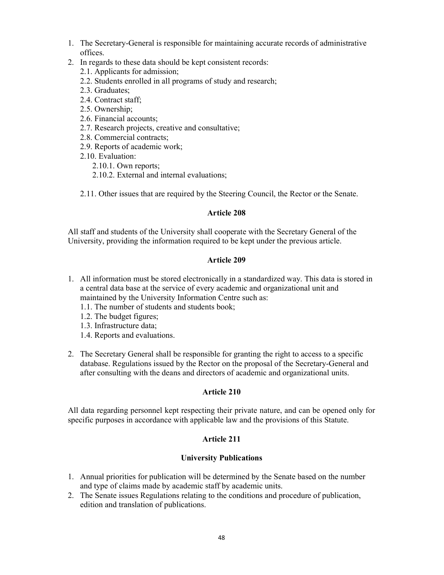- 1. The Secretary-General is responsible for maintaining accurate records of administrative offices.
- 2. In regards to these data should be kept consistent records:
	- 2.1. Applicants for admission;
	- 2.2. Students enrolled in all programs of study and research;
	- 2.3. Graduates;
	- 2.4. Contract staff;
	- 2.5. Ownership;
	- 2.6. Financial accounts;
	- 2.7. Research projects, creative and consultative;
	- 2.8. Commercial contracts;
	- 2.9. Reports of academic work;
	- 2.10. Evaluation:
		- 2.10.1. Own reports;
		- 2.10.2. External and internal evaluations;
	- 2.11. Other issues that are required by the Steering Council, the Rector or the Senate.

All staff and students of the University shall cooperate with the Secretary General of the University, providing the information required to be kept under the previous article.

## Article 209

- 1. All information must be stored electronically in a standardized way. This data is stored in a central data base at the service of every academic and organizational unit and maintained by the University Information Centre such as:
	- 1.1. The number of students and students book;
	- 1.2. The budget figures;
	- 1.3. Infrastructure data;
	- 1.4. Reports and evaluations.
- 2. The Secretary General shall be responsible for granting the right to access to a specific database. Regulations issued by the Rector on the proposal of the Secretary-General and after consulting with the deans and directors of academic and organizational units.

## Article 210

All data regarding personnel kept respecting their private nature, and can be opened only for specific purposes in accordance with applicable law and the provisions of this Statute.

# Article 211

## University Publications

- 1. Annual priorities for publication will be determined by the Senate based on the number and type of claims made by academic staff by academic units.
- 2. The Senate issues Regulations relating to the conditions and procedure of publication, edition and translation of publications.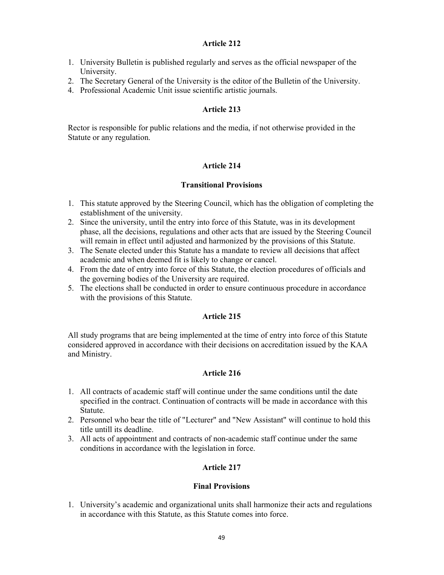- 1. University Bulletin is published regularly and serves as the official newspaper of the University.
- 2. The Secretary General of the University is the editor of the Bulletin of the University.
- 4. Professional Academic Unit issue scientific artistic journals.

# Article 213

Rector is responsible for public relations and the media, if not otherwise provided in the Statute or any regulation.

# Article 214

#### Transitional Provisions

- 1. This statute approved by the Steering Council, which has the obligation of completing the establishment of the university.
- 2. Since the university, until the entry into force of this Statute, was in its development phase, all the decisions, regulations and other acts that are issued by the Steering Council will remain in effect until adjusted and harmonized by the provisions of this Statute.
- 3. The Senate elected under this Statute has a mandate to review all decisions that affect academic and when deemed fit is likely to change or cancel.
- 4. From the date of entry into force of this Statute, the election procedures of officials and the governing bodies of the University are required.
- 5. The elections shall be conducted in order to ensure continuous procedure in accordance with the provisions of this Statute.

## Article 215

All study programs that are being implemented at the time of entry into force of this Statute considered approved in accordance with their decisions on accreditation issued by the KAA and Ministry.

## Article 216

- 1. All contracts of academic staff will continue under the same conditions until the date specified in the contract. Continuation of contracts will be made in accordance with this Statute.
- 2. Personnel who bear the title of "Lecturer" and "New Assistant" will continue to hold this title untill its deadline.
- 3. All acts of appointment and contracts of non-academic staff continue under the same conditions in accordance with the legislation in force.

## Article 217

#### Final Provisions

1. University's academic and organizational units shall harmonize their acts and regulations in accordance with this Statute, as this Statute comes into force.